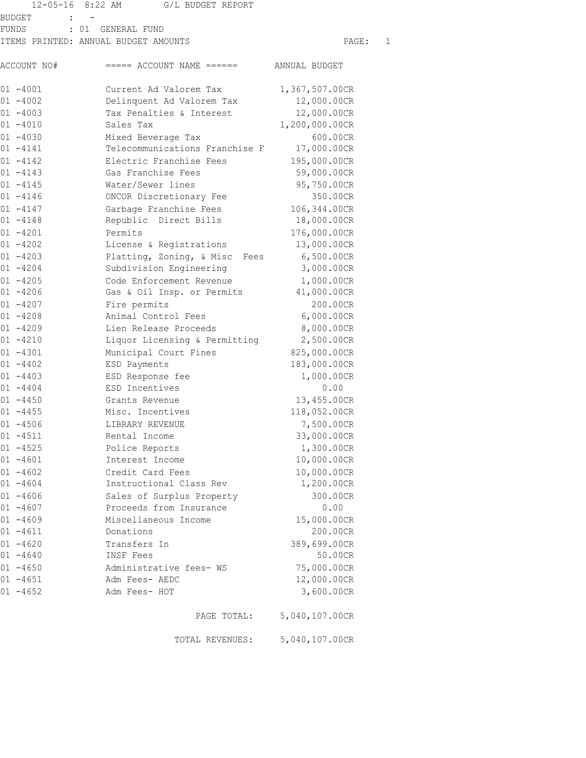|             | 12-05-16 8:22 AM<br>G/L BUDGET REPORT |                |   |
|-------------|---------------------------------------|----------------|---|
| BUDGET      |                                       |                |   |
| FUNDS       | : 01 GENERAL FUND                     |                |   |
|             | ITEMS PRINTED: ANNUAL BUDGET AMOUNTS  | PAGE:          | 1 |
| ACCOUNT NO# | $====$ ACCOUNT NAME $====$            | ANNUAL BUDGET  |   |
| $01 - 4001$ | Current Ad Valorem Tax                | 1,367,507.00CR |   |
| $01 - 4002$ | Delinquent Ad Valorem Tax             | 12,000.00CR    |   |
| $01 - 4003$ | Tax Penalties & Interest              | 12,000.00CR    |   |
| $01 - 4010$ | Sales Tax                             | 1,200,000.00CR |   |
| $01 - 4030$ | Mixed Beverage Tax                    | 600.00CR       |   |
| $01 - 4141$ | Telecommunications Franchise F        | 17,000.00CR    |   |
| $01 - 4142$ | Electric Franchise Fees               | 195,000.00CR   |   |
| $01 - 4143$ | Gas Franchise Fees                    | 59,000.00CR    |   |
| $01 - 4145$ | Water/Sewer lines                     | 95,750.00CR    |   |
| $01 - 4146$ | ONCOR Discretionary Fee               | 350.00CR       |   |
| $01 - 4147$ | Garbage Franchise Fees                | 106,344.00CR   |   |
| 01 -4148    | Republic Direct Bills                 | 18,000.00CR    |   |
| $01 - 4201$ | Permits                               | 176,000.00CR   |   |
| 01 -4202    | License & Registrations               | 13,000.00CR    |   |
| $01 - 4203$ | Platting, Zoning, & Misc<br>Fees      | 6,500.00CR     |   |
| $01 - 4204$ | Subdivision Engineering               | 3,000.00CR     |   |
| $01 - 4205$ | Code Enforcement Revenue              | 1,000.00CR     |   |
| $01 - 4206$ | Gas & Oil Insp. or Permits            | 41,000.00CR    |   |
| $01 - 4207$ | Fire permits                          | 200.00CR       |   |
| $01 - 4208$ | Animal Control Fees                   | 6,000.00CR     |   |
| $01 - 4209$ | Lien Release Proceeds                 | 8,000.00CR     |   |
| $01 - 4210$ | Liquor Licensing & Permitting         | 2,500.00CR     |   |
| $01 - 4301$ | Municipal Court Fines                 | 825,000.00CR   |   |
| $01 - 4402$ | ESD Payments                          | 183,000.00CR   |   |
| $01 - 4403$ | ESD Response fee                      | 1,000.00CR     |   |
| $01 - 4404$ | ESD Incentives                        | 0.00           |   |
| $01 - 4450$ | Grants Revenue                        | 13,455.00CR    |   |
| $01 - 4455$ | Misc. Incentives                      | 118,052.00CR   |   |
| $01 - 4506$ | LIBRARY REVENUE                       | 7,500.00CR     |   |
| $01 - 4511$ | Rental Income                         | 33,000.00CR    |   |
| $01 - 4525$ | Police Reports                        | 1,300.00CR     |   |
| $01 - 4601$ | Interest Income                       | 10,000.00CR    |   |
| $01 - 4602$ | Credit Card Fees                      | 10,000.00CR    |   |
| $01 - 4604$ | Instructional Class Rev               | 1,200.00CR     |   |
| $01 - 4606$ | Sales of Surplus Property             | 300.00CR       |   |
| $01 - 4607$ | Proceeds from Insurance               | 0.00           |   |
| $01 - 4609$ | Miscellaneous Income                  | 15,000.00CR    |   |
| $01 - 4611$ | Donations                             | 200.00CR       |   |
| $01 - 4620$ | Transfers In                          | 389,699.00CR   |   |
| $01 - 4640$ | INSF Fees                             | 50.00CR        |   |
| $01 - 4650$ | Administrative fees- WS               | 75,000.00CR    |   |
| $01 - 4651$ | Adm Fees- AEDC                        | 12,000.00CR    |   |
| $01 - 4652$ | Adm Fees- HOT                         | 3,600.00CR     |   |
|             | PAGE TOTAL:                           | 5,040,107.00CR |   |

TOTAL REVENUES: 5,040,107.00CR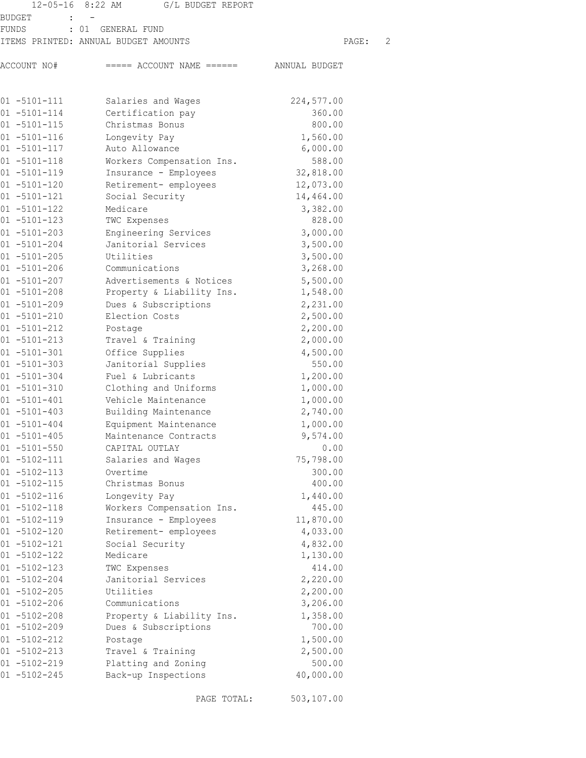|                                        | 12-05-16 8:22 AM G/L BUDGET REPORT       |                      |   |
|----------------------------------------|------------------------------------------|----------------------|---|
| BUDGET                                 |                                          |                      |   |
| FUNDS                                  | : 01 GENERAL FUND                        |                      |   |
|                                        | ITEMS PRINTED: ANNUAL BUDGET AMOUNTS     | PAGE:                | 2 |
| ACCOUNT NO#                            | $====$ ACCOUNT NAME $====$ ANNUAL BUDGET |                      |   |
|                                        |                                          |                      |   |
| $01 - 5101 - 111$                      | Salaries and Wages                       | 224,577.00           |   |
| $01 - 5101 - 114$                      | Certification pay                        | 360.00               |   |
| $01 - 5101 - 115$                      | Christmas Bonus                          | 800.00               |   |
| $01 - 5101 - 116$                      | Longevity Pay                            | 1,560.00             |   |
| $01 - 5101 - 117$                      | Auto Allowance                           | 6,000.00             |   |
| $01 - 5101 - 118$                      | Workers Compensation Ins.                | 588.00               |   |
| $01 - 5101 - 119$                      | Insurance - Employees                    | 32,818.00            |   |
| $01 - 5101 - 120$                      | Retirement- employees                    | 12,073.00            |   |
| $01 - 5101 - 121$                      | Social Security                          | 14,464.00            |   |
| $01 - 5101 - 122$                      | Medicare                                 | 3,382.00             |   |
| $01 - 5101 - 123$                      | TWC Expenses                             | 828.00               |   |
| $01 - 5101 - 203$                      | Engineering Services                     | 3,000.00             |   |
| $01 - 5101 - 204$                      | Janitorial Services                      | 3,500.00             |   |
| $01 - 5101 - 205$                      | Utilities                                | 3,500.00             |   |
| $01 - 5101 - 206$                      | Communications                           | 3,268.00             |   |
| $01 - 5101 - 207$                      | Advertisements & Notices                 | 5,500.00             |   |
| $01 - 5101 - 208$                      | Property & Liability Ins.                | 1,548.00             |   |
| $01 - 5101 - 209$                      | Dues & Subscriptions                     | 2,231.00             |   |
| $01 - 5101 - 210$                      | Election Costs                           | 2,500.00             |   |
| $01 - 5101 - 212$                      | Postage                                  | 2,200.00             |   |
| $01 - 5101 - 213$                      | Travel & Training                        | 2,000.00             |   |
| $01 - 5101 - 301$                      | Office Supplies                          | 4,500.00             |   |
| $01 - 5101 - 303$<br>$01 - 5101 - 304$ | Janitorial Supplies<br>Fuel & Lubricants | 550.00               |   |
| $01 - 5101 - 310$                      | Clothing and Uniforms                    | 1,200.00<br>1,000.00 |   |
| $01 - 5101 - 401$                      | Vehicle Maintenance                      | 1,000.00             |   |
| $01 - 5101 - 403$                      | Building Maintenance                     | 2,740.00             |   |
| $01 - 5101 - 404$                      | Equipment Maintenance                    | 1,000.00             |   |
| $01 - 5101 - 405$                      | Maintenance Contracts                    | 9,574.00             |   |
| $01 - 5101 - 550$                      | CAPITAL OUTLAY                           | 0.00                 |   |
| $01 - 5102 - 111$                      | Salaries and Wages                       | 75,798.00            |   |
| $01 - 5102 - 113$                      | Overtime                                 | 300.00               |   |
| $01 - 5102 - 115$                      | Christmas Bonus                          | 400.00               |   |
| $01 - 5102 - 116$                      | Longevity Pay                            | 1,440.00             |   |
| $01 - 5102 - 118$                      | Workers Compensation Ins.                | 445.00               |   |
| $01 - 5102 - 119$                      | Insurance - Employees                    | 11,870.00            |   |
| $01 - 5102 - 120$                      | Retirement- employees                    | 4,033.00             |   |
| $01 - 5102 - 121$                      | Social Security                          | 4,832.00             |   |
| $01 - 5102 - 122$                      | Medicare                                 | 1,130.00             |   |
| $01 - 5102 - 123$                      | TWC Expenses                             | 414.00               |   |
| $01 - 5102 - 204$                      | Janitorial Services                      | 2,220.00             |   |
| $01 - 5102 - 205$                      | Utilities                                | 2,200.00             |   |
| $01 - 5102 - 206$                      | Communications                           | 3,206.00             |   |
| $01 - 5102 - 208$                      | Property & Liability Ins.                | 1,358.00             |   |
| $01 - 5102 - 209$                      | Dues & Subscriptions                     | 700.00               |   |
| $01 - 5102 - 212$                      | Postage                                  | 1,500.00             |   |
| 01 -5102-213                           | Travel & Training                        | 2,500.00             |   |
| $01 - 5102 - 219$                      | Platting and Zoning                      | 500.00               |   |
| $01 - 5102 - 245$                      | Back-up Inspections                      | 40,000.00            |   |

PAGE TOTAL: 503,107.00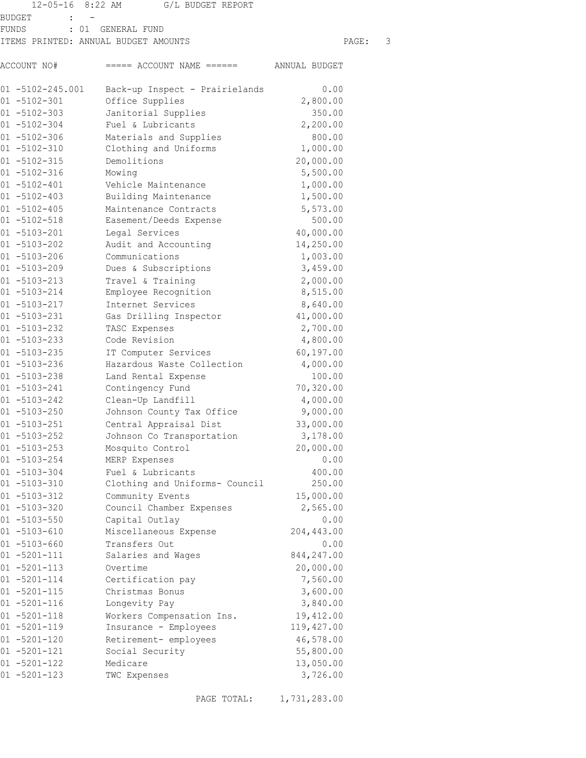|                                        | 12-05-16 8:22 AM G/L BUDGET REPORT       |                        |       |               |
|----------------------------------------|------------------------------------------|------------------------|-------|---------------|
| BUDGET<br>$\mathbf{L}$                 |                                          |                        |       |               |
| FUNDS                                  | : 01 GENERAL FUND                        |                        |       |               |
|                                        | ITEMS PRINTED: ANNUAL BUDGET AMOUNTS     |                        | PAGE: | $\mathcal{S}$ |
| ACCOUNT NO#                            | $====$ ACCOUNT NAME $====$ ANNUAL BUDGET |                        |       |               |
| $01 - 5102 - 245.001$                  | Back-up Inspect - Prairielands           | 0.00                   |       |               |
| $01 - 5102 - 301$                      | Office Supplies                          | 2,800.00               |       |               |
| $01 - 5102 - 303$                      | Janitorial Supplies                      | 350.00                 |       |               |
| $01 - 5102 - 304$                      | Fuel & Lubricants                        | 2,200.00               |       |               |
| $01 - 5102 - 306$                      | Materials and Supplies                   | 800.00                 |       |               |
| $01 - 5102 - 310$                      | Clothing and Uniforms                    | 1,000.00               |       |               |
| $01 - 5102 - 315$                      | Demolitions                              | 20,000.00              |       |               |
| $01 - 5102 - 316$                      | Mowing                                   | 5,500.00               |       |               |
| $01 - 5102 - 401$                      | Vehicle Maintenance                      | 1,000.00               |       |               |
| $01 - 5102 - 403$                      | Building Maintenance                     | 1,500.00               |       |               |
| $01 - 5102 - 405$                      | Maintenance Contracts                    | 5,573.00               |       |               |
| $01 - 5102 - 518$                      | Easement/Deeds Expense                   | 500.00                 |       |               |
| $01 - 5103 - 201$                      | Legal Services                           | 40,000.00              |       |               |
| $01 - 5103 - 202$                      | Audit and Accounting                     | 14,250.00              |       |               |
| $01 - 5103 - 206$                      | Communications                           | 1,003.00               |       |               |
| $01 - 5103 - 209$                      | Dues & Subscriptions                     | 3,459.00               |       |               |
| $01 - 5103 - 213$                      | Travel & Training                        | 2,000.00               |       |               |
| $01 - 5103 - 214$                      | Employee Recognition                     | 8,515.00               |       |               |
| $01 - 5103 - 217$                      | Internet Services                        | 8,640.00               |       |               |
| $01 - 5103 - 231$<br>$01 - 5103 - 232$ | Gas Drilling Inspector                   | 41,000.00              |       |               |
| $01 - 5103 - 233$                      | TASC Expenses<br>Code Revision           | 2,700.00<br>4,800.00   |       |               |
| $01 - 5103 - 235$                      | IT Computer Services                     | 60, 197.00             |       |               |
| $01 - 5103 - 236$                      | Hazardous Waste Collection               | 4,000.00               |       |               |
| $01 - 5103 - 238$                      | Land Rental Expense                      | 100.00                 |       |               |
| $01 - 5103 - 241$                      | Contingency Fund                         | 70,320.00              |       |               |
| $01 - 5103 - 242$                      | Clean-Up Landfill                        | 4,000.00               |       |               |
| $01 - 5103 - 250$                      | Johnson County Tax Office                | 9,000.00               |       |               |
| $01 - 5103 - 251$                      | Central Appraisal Dist                   | 33,000.00              |       |               |
| $01 - 5103 - 252$                      | Johnson Co Transportation                | 3,178.00               |       |               |
| $01 - 5103 - 253$                      | Mosquito Control                         | 20,000.00              |       |               |
| $01 - 5103 - 254$                      | MERP Expenses                            | 0.00                   |       |               |
| $01 - 5103 - 304$                      | Fuel & Lubricants                        | 400.00                 |       |               |
| $01 - 5103 - 310$                      | Clothing and Uniforms- Council           | 250.00                 |       |               |
| $01 - 5103 - 312$                      | Community Events                         | 15,000.00              |       |               |
| $01 - 5103 - 320$                      | Council Chamber Expenses                 | 2,565.00               |       |               |
| $01 - 5103 - 550$                      | Capital Outlay                           | 0.00                   |       |               |
| $01 - 5103 - 610$                      | Miscellaneous Expense                    | 204, 443.00            |       |               |
| $01 - 5103 - 660$                      | Transfers Out                            | 0.00                   |       |               |
| $01 - 5201 - 111$                      | Salaries and Wages                       | 844, 247.00            |       |               |
| $01 - 5201 - 113$                      | Overtime                                 | 20,000.00              |       |               |
| $01 - 5201 - 114$                      | Certification pay                        | 7,560.00               |       |               |
| $01 - 5201 - 115$                      | Christmas Bonus                          | 3,600.00               |       |               |
| $01 - 5201 - 116$                      | Longevity Pay                            | 3,840.00               |       |               |
| $01 - 5201 - 118$                      | Workers Compensation Ins.                | 19,412.00              |       |               |
| $01 - 5201 - 119$                      | Insurance - Employees                    | 119,427.00             |       |               |
| $01 - 5201 - 120$<br>01 -5201-121      | Retirement- employees<br>Social Security | 46,578.00<br>55,800.00 |       |               |
| $01 - 5201 - 122$                      | Medicare                                 | 13,050.00              |       |               |
| $01 - 5201 - 123$                      | TWC Expenses                             | 3,726.00               |       |               |
|                                        |                                          |                        |       |               |

PAGE TOTAL: 1,731,283.00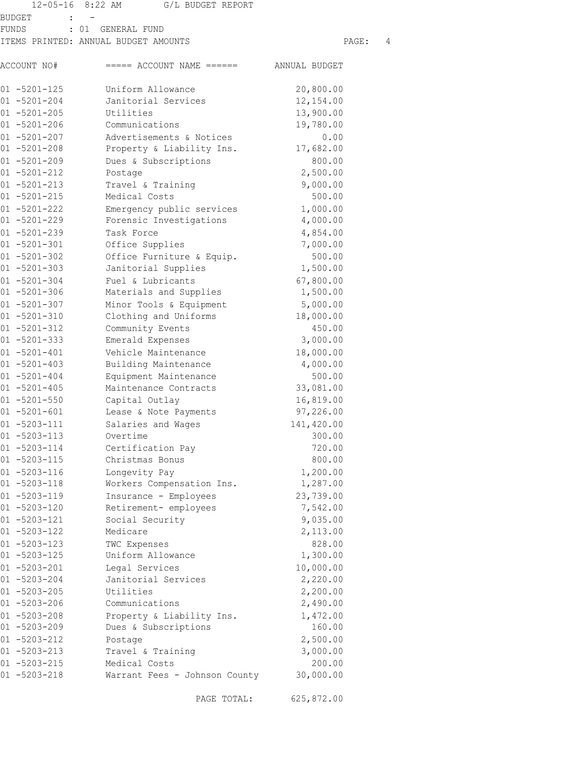|                                        | 12-05-16 8:22 AM<br>G/L BUDGET REPORT          |                       |   |
|----------------------------------------|------------------------------------------------|-----------------------|---|
| BUDGET                                 |                                                |                       |   |
| FUNDS                                  | : 01 GENERAL FUND                              |                       |   |
|                                        | ITEMS PRINTED: ANNUAL BUDGET AMOUNTS           | PAGE:                 | 4 |
| ACCOUNT NO#                            | $====$ ACCOUNT NAME $====$ ANNUAL BUDGET       |                       |   |
| $01 - 5201 - 125$                      | Uniform Allowance                              | 20,800.00             |   |
| $01 - 5201 - 204$                      | Janitorial Services                            | 12,154.00             |   |
| $01 - 5201 - 205$                      | Utilities                                      | 13,900.00             |   |
| $01 - 5201 - 206$                      | Communications                                 | 19,780.00             |   |
| $01 - 5201 - 207$                      | Advertisements & Notices                       | 0.00                  |   |
| $01 - 5201 - 208$                      | Property & Liability Ins.                      | 17,682.00             |   |
| $01 - 5201 - 209$                      | Dues & Subscriptions                           | 800.00                |   |
| $01 - 5201 - 212$                      | Postage                                        | 2,500.00              |   |
| $01 - 5201 - 213$                      | Travel & Training                              | 9,000.00              |   |
| $01 - 5201 - 215$                      | Medical Costs                                  | 500.00                |   |
| $01 - 5201 - 222$                      | Emergency public services                      | 1,000.00              |   |
| $01 - 5201 - 229$                      | Forensic Investigations                        | 4,000.00              |   |
| $01 - 5201 - 239$                      | Task Force                                     | 4,854.00              |   |
| $01 - 5201 - 301$                      | Office Supplies                                | 7,000.00              |   |
| $01 - 5201 - 302$                      | Office Furniture & Equip.                      | 500.00                |   |
| $01 - 5201 - 303$                      | Janitorial Supplies                            | 1,500.00              |   |
| $01 - 5201 - 304$                      | Fuel & Lubricants                              | 67,800.00             |   |
| $01 - 5201 - 306$                      | Materials and Supplies                         | 1,500.00              |   |
| $01 - 5201 - 307$                      | Minor Tools & Equipment                        | 5,000.00              |   |
| $01 - 5201 - 310$                      | Clothing and Uniforms                          | 18,000.00             |   |
| $01 - 5201 - 312$                      | Community Events                               | 450.00                |   |
| $01 - 5201 - 333$                      | Emerald Expenses                               | 3,000.00              |   |
| $01 - 5201 - 401$                      | Vehicle Maintenance                            | 18,000.00             |   |
| $01 - 5201 - 403$                      | Building Maintenance                           | 4,000.00              |   |
| $01 - 5201 - 404$                      | Equipment Maintenance                          | 500.00                |   |
| $01 - 5201 - 405$                      | Maintenance Contracts                          | 33,081.00             |   |
| $01 - 5201 - 550$                      | Capital Outlay                                 | 16,819.00             |   |
| $01 - 5201 - 601$                      | Lease & Note Payments                          | 97,226.00             |   |
| $01 - 5203 - 111$                      | Salaries and Wages                             | 141,420.00            |   |
| $01 - 5203 - 113$                      | Overtime                                       | 300.00                |   |
| $01 - 5203 - 114$                      | Certification Pay                              | 720.00                |   |
| $01 - 5203 - 115$                      | Christmas Bonus                                | 800.00                |   |
| $01 - 5203 - 116$                      | Longevity Pay                                  | 1,200.00              |   |
| $01 - 5203 - 118$                      | Workers Compensation Ins.                      | 1,287.00              |   |
| $01 - 5203 - 119$<br>$01 - 5203 - 120$ | Insurance - Employees<br>Retirement- employees | 23,739.00<br>7,542.00 |   |
| $01 - 5203 - 121$                      | Social Security                                | 9,035.00              |   |
| $01 - 5203 - 122$                      | Medicare                                       | 2,113.00              |   |
| $01 - 5203 - 123$                      | TWC Expenses                                   | 828.00                |   |
| $01 - 5203 - 125$                      | Uniform Allowance                              | 1,300.00              |   |
| $01 - 5203 - 201$                      | Legal Services                                 | 10,000.00             |   |
| $01 - 5203 - 204$                      | Janitorial Services                            | 2,220.00              |   |
| $01 - 5203 - 205$                      | Utilities                                      | 2,200.00              |   |
| $01 - 5203 - 206$                      | Communications                                 | 2,490.00              |   |
| $01 - 5203 - 208$                      | Property & Liability Ins.                      | 1,472.00              |   |
| $01 - 5203 - 209$                      | Dues & Subscriptions                           | 160.00                |   |
| $01 - 5203 - 212$                      | Postage                                        | 2,500.00              |   |
| $01 - 5203 - 213$                      | Travel & Training                              | 3,000.00              |   |
| $01 - 5203 - 215$                      | Medical Costs                                  | 200.00                |   |
| $01 - 5203 - 218$                      | Warrant Fees - Johnson County                  | 30,000.00             |   |
|                                        |                                                |                       |   |

PAGE TOTAL: 625,872.00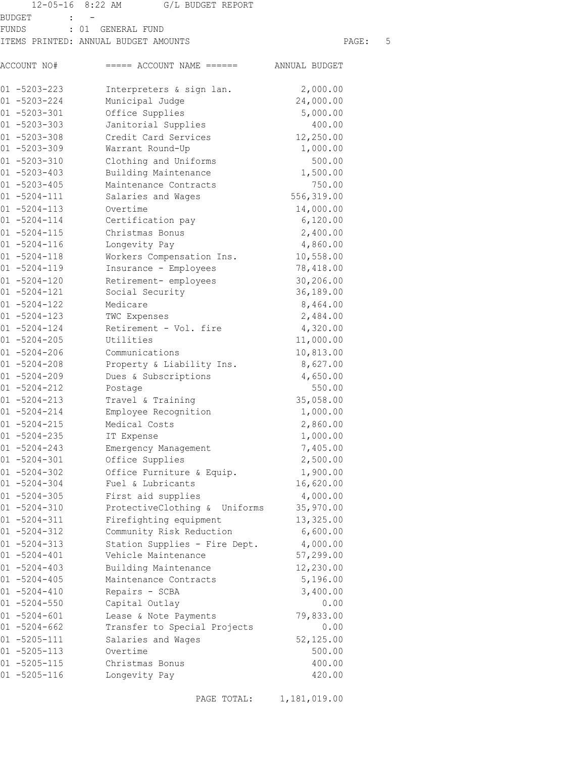|                                        | 12-05-16 8:22 AM G/L BUDGET REPORT       |                        |  |
|----------------------------------------|------------------------------------------|------------------------|--|
| BUDGET                                 |                                          |                        |  |
| FUNDS                                  | : 01 GENERAL FUND                        |                        |  |
|                                        | ITEMS PRINTED: ANNUAL BUDGET AMOUNTS     | 5<br>PAGE:             |  |
| ACCOUNT NO#                            | $====$ ACCOUNT NAME $====$ ANNUAL BUDGET |                        |  |
| $01 - 5203 - 223$                      | Interpreters & sign lan.                 | 2,000.00               |  |
| $01 - 5203 - 224$                      | Municipal Judge                          | 24,000.00              |  |
| $01 - 5203 - 301$                      | Office Supplies                          | 5,000.00               |  |
| $01 - 5203 - 303$                      | Janitorial Supplies                      | 400.00                 |  |
| $01 - 5203 - 308$                      | Credit Card Services                     | 12,250.00              |  |
| $01 - 5203 - 309$                      | Warrant Round-Up                         | 1,000.00               |  |
| $01 - 5203 - 310$                      | Clothing and Uniforms                    | 500.00                 |  |
| $01 - 5203 - 403$                      | Building Maintenance                     | 1,500.00               |  |
| $01 - 5203 - 405$                      | Maintenance Contracts                    | 750.00                 |  |
| $01 - 5204 - 111$                      | Salaries and Wages                       | 556,319.00             |  |
| $01 - 5204 - 113$                      | Overtime                                 | 14,000.00              |  |
| $01 - 5204 - 114$                      | Certification pay                        | 6,120.00               |  |
| $01 - 5204 - 115$                      | Christmas Bonus                          | 2,400.00               |  |
| $01 - 5204 - 116$                      | Longevity Pay                            | 4,860.00               |  |
| $01 - 5204 - 118$                      | Workers Compensation Ins.                | 10,558.00              |  |
| $01 - 5204 - 119$                      | Insurance - Employees                    | 78,418.00              |  |
| $01 - 5204 - 120$<br>$01 - 5204 - 121$ | Retirement- employees                    | 30,206.00<br>36,189.00 |  |
| $01 - 5204 - 122$                      | Social Security<br>Medicare              |                        |  |
| $01 - 5204 - 123$                      | TWC Expenses                             | 8,464.00<br>2,484.00   |  |
| $01 - 5204 - 124$                      | Retirement - Vol. fire                   | 4,320.00               |  |
| $01 - 5204 - 205$                      | Utilities                                | 11,000.00              |  |
| $01 - 5204 - 206$                      | Communications                           | 10,813.00              |  |
| $01 - 5204 - 208$                      | Property & Liability Ins. 8,627.00       |                        |  |
| $01 - 5204 - 209$                      | Dues & Subscriptions                     | 4,650.00               |  |
| $01 - 5204 - 212$                      | Postage                                  | 550.00                 |  |
| $01 - 5204 - 213$                      | Travel & Training                        | 35,058.00              |  |
| $01 - 5204 - 214$                      | Employee Recognition                     | 1,000.00               |  |
| $01 - 5204 - 215$                      | Medical Costs                            | 2,860.00               |  |
| $01 - 5204 - 235$                      | IT Expense                               | 1,000.00               |  |
| $01 - 5204 - 243$                      | Emergency Management                     | 7,405.00               |  |
| $01 - 5204 - 301$                      | Office Supplies                          | 2,500.00               |  |
| $01 - 5204 - 302$                      | Office Furniture & Equip.                | 1,900.00               |  |
| $01 - 5204 - 304$                      | Fuel & Lubricants                        | 16,620.00              |  |
| $01 - 5204 - 305$                      | First aid supplies                       | 4,000.00               |  |
| $01 - 5204 - 310$                      | ProtectiveClothing & Uniforms            | 35,970.00              |  |
| $01 - 5204 - 311$                      | Firefighting equipment                   | 13,325.00              |  |
| $01 - 5204 - 312$                      | Community Risk Reduction                 | 6,600.00               |  |
| $01 - 5204 - 313$                      | Station Supplies - Fire Dept.            | 4,000.00               |  |
| $01 - 5204 - 401$                      | Vehicle Maintenance                      | 57,299.00              |  |
| $01 - 5204 - 403$                      | Building Maintenance                     | 12,230.00              |  |
| $01 - 5204 - 405$                      | Maintenance Contracts                    | 5,196.00               |  |
| $01 - 5204 - 410$                      | Repairs - SCBA                           | 3,400.00               |  |
| $01 - 5204 - 550$                      | Capital Outlay                           | 0.00                   |  |
| $01 - 5204 - 601$                      | Lease & Note Payments                    | 79,833.00              |  |
| $01 - 5204 - 662$                      | Transfer to Special Projects             | 0.00                   |  |
| $01 - 5205 - 111$                      | Salaries and Wages                       | 52,125.00              |  |
| 01 -5205-113                           | Overtime                                 | 500.00                 |  |
| $01 - 5205 - 115$                      | Christmas Bonus                          | 400.00                 |  |
| $01 - 5205 - 116$                      | Longevity Pay                            | 420.00                 |  |

PAGE TOTAL: 1,181,019.00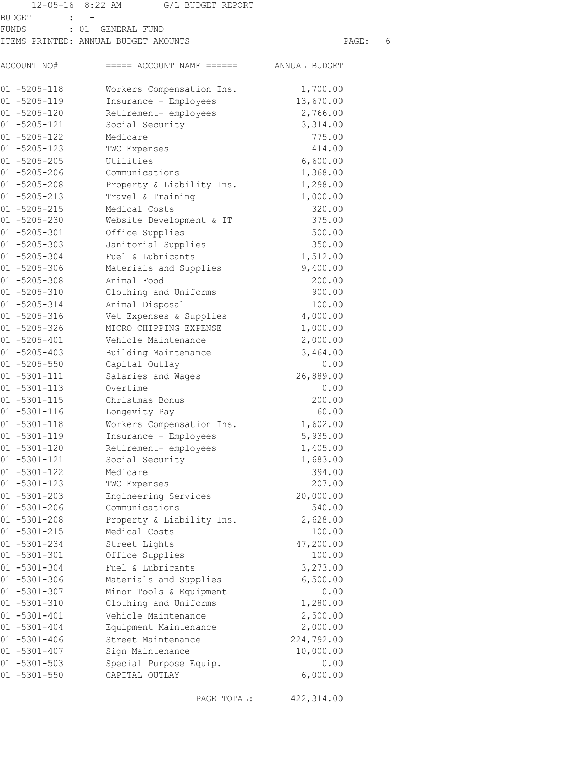|                                        | 12-05-16 8:22 AM G/L BUDGET REPORT       |                   |   |
|----------------------------------------|------------------------------------------|-------------------|---|
| BUDGET                                 |                                          |                   |   |
| FUNDS                                  | : 01 GENERAL FUND                        |                   |   |
|                                        | ITEMS PRINTED: ANNUAL BUDGET AMOUNTS     | PAGE:             | 6 |
| ACCOUNT NO#                            | $====$ ACCOUNT NAME $====$ ANNUAL BUDGET |                   |   |
| $01 - 5205 - 118$                      | Workers Compensation Ins.                | 1,700.00          |   |
| $01 - 5205 - 119$                      | Insurance - Employees                    | 13,670.00         |   |
| $01 - 5205 - 120$                      | Retirement- employees                    | 2,766.00          |   |
| $01 - 5205 - 121$                      | Social Security                          | 3,314.00          |   |
| $01 - 5205 - 122$                      | Medicare                                 | 775.00            |   |
| $01 - 5205 - 123$                      | TWC Expenses                             | 414.00            |   |
| $01 - 5205 - 205$                      | Utilities                                | 6,600.00          |   |
| $01 - 5205 - 206$                      | Communications                           | 1,368.00          |   |
| $01 - 5205 - 208$                      | Property & Liability Ins.                | 1,298.00          |   |
| $01 - 5205 - 213$                      | Travel & Training                        | 1,000.00          |   |
| $01 - 5205 - 215$                      | Medical Costs                            | 320.00            |   |
| $01 - 5205 - 230$                      | Website Development & IT                 | 375.00            |   |
| $01 - 5205 - 301$                      | Office Supplies                          | 500.00            |   |
| $01 - 5205 - 303$                      | Janitorial Supplies                      | 350.00            |   |
| $01 - 5205 - 304$                      | Fuel & Lubricants                        | 1,512.00          |   |
| $01 - 5205 - 306$                      | Materials and Supplies                   | 9,400.00          |   |
| $01 - 5205 - 308$                      | Animal Food                              | 200.00            |   |
| $01 - 5205 - 310$                      | Clothing and Uniforms                    | 900.00            |   |
| $01 - 5205 - 314$                      | Animal Disposal                          | 100.00            |   |
| $01 - 5205 - 316$                      | Vet Expenses & Supplies                  | 4,000.00          |   |
| $01 - 5205 - 326$                      | MICRO CHIPPING EXPENSE                   | 1,000.00          |   |
| $01 - 5205 - 401$                      | Vehicle Maintenance                      | 2,000.00          |   |
| $01 - 5205 - 403$                      | Building Maintenance                     | 3,464.00<br>0.00  |   |
| $01 - 5205 - 550$                      | Capital Outlay                           |                   |   |
| $01 - 5301 - 111$<br>$01 - 5301 - 113$ | Salaries and Wages<br>Overtime           | 26,889.00<br>0.00 |   |
| $01 - 5301 - 115$                      | Christmas Bonus                          | 200.00            |   |
| $01 - 5301 - 116$                      | Longevity Pay                            | 60.00             |   |
| $01 - 5301 - 118$                      | Workers Compensation Ins.                | 1,602.00          |   |
| $01 - 5301 - 119$                      | Insurance - Employees                    | 5,935.00          |   |
| $01 - 5301 - 120$                      | Retirement- employees                    | 1,405.00          |   |
| $01 - 5301 - 121$                      | Social Security                          | 1,683.00          |   |
| $01 - 5301 - 122$                      | Medicare                                 | 394.00            |   |
| $01 - 5301 - 123$                      | TWC Expenses                             | 207.00            |   |
| $01 - 5301 - 203$                      | Engineering Services                     | 20,000.00         |   |
| $01 - 5301 - 206$                      | Communications                           | 540.00            |   |
| $01 - 5301 - 208$                      | Property & Liability Ins.                | 2,628.00          |   |
| $01 - 5301 - 215$                      | Medical Costs                            | 100.00            |   |
| $01 - 5301 - 234$                      | Street Lights                            | 47,200.00         |   |
| $01 - 5301 - 301$                      | Office Supplies                          | 100.00            |   |
| $01 - 5301 - 304$                      | Fuel & Lubricants                        | 3,273.00          |   |
| $01 - 5301 - 306$                      | Materials and Supplies                   | 6,500.00          |   |
| $01 - 5301 - 307$                      | Minor Tools & Equipment                  | 0.00              |   |
| $01 - 5301 - 310$                      | Clothing and Uniforms                    | 1,280.00          |   |
| $01 - 5301 - 401$                      | Vehicle Maintenance                      | 2,500.00          |   |
| $01 - 5301 - 404$                      | Equipment Maintenance                    | 2,000.00          |   |
| $01 - 5301 - 406$                      | Street Maintenance                       | 224,792.00        |   |
| $01 - 5301 - 407$                      | Sign Maintenance                         | 10,000.00         |   |
| $01 - 5301 - 503$                      | Special Purpose Equip.                   | 0.00              |   |
| $01 - 5301 - 550$                      | CAPITAL OUTLAY                           | 6,000.00          |   |

PAGE TOTAL: 422,314.00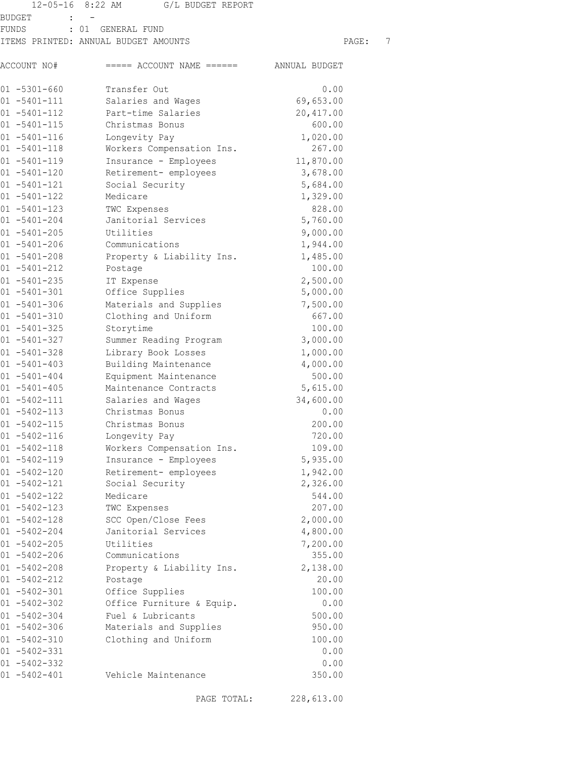|       |                                        | 12-05-16 8:22 AM G/L BUDGET REPORT       |                    |   |
|-------|----------------------------------------|------------------------------------------|--------------------|---|
|       | BUDGET                                 |                                          |                    |   |
| FUNDS |                                        | : 01 GENERAL FUND                        |                    |   |
|       |                                        | ITEMS PRINTED: ANNUAL BUDGET AMOUNTS     | PAGE:              | 7 |
|       | ACCOUNT NO#                            | $====$ ACCOUNT NAME $====$ ANNUAL BUDGET |                    |   |
|       | $01 - 5301 - 660$                      | Transfer Out                             | 0.00               |   |
|       | $01 - 5401 - 111$                      | Salaries and Wages                       | 69,653.00          |   |
|       | $01 - 5401 - 112$                      | Part-time Salaries                       | 20,417.00          |   |
|       | $01 - 5401 - 115$                      | Christmas Bonus                          | 600.00             |   |
|       | $01 - 5401 - 116$                      | Longevity Pay                            | 1,020.00           |   |
|       | $01 - 5401 - 118$                      | Workers Compensation Ins.                | 267.00             |   |
|       | $01 - 5401 - 119$                      | Insurance - Employees                    | 11,870.00          |   |
|       | $01 - 5401 - 120$                      | Retirement- employees                    | 3,678.00           |   |
|       | $01 - 5401 - 121$                      | Social Security                          | 5,684.00           |   |
|       | $01 - 5401 - 122$                      | Medicare                                 | 1,329.00           |   |
|       | $01 - 5401 - 123$                      | TWC Expenses                             | 828.00             |   |
|       | $01 - 5401 - 204$                      | Janitorial Services                      | 5,760.00           |   |
|       | $01 - 5401 - 205$                      | Utilities                                | 9,000.00           |   |
|       | $01 - 5401 - 206$                      | Communications                           | 1,944.00           |   |
|       | $01 - 5401 - 208$                      | Property & Liability Ins.                | 1,485.00           |   |
|       | $01 - 5401 - 212$                      | Postage                                  | 100.00             |   |
|       | $01 - 5401 - 235$                      | IT Expense                               | 2,500.00           |   |
|       | $01 - 5401 - 301$                      | Office Supplies                          | 5,000.00           |   |
|       | $01 - 5401 - 306$                      | Materials and Supplies                   | 7,500.00<br>667.00 |   |
|       | $01 - 5401 - 310$<br>$01 - 5401 - 325$ | Clothing and Uniform                     |                    |   |
|       | $01 - 5401 - 327$                      | Storytime<br>Summer Reading Program      | 100.00<br>3,000.00 |   |
|       | $01 - 5401 - 328$                      | Library Book Losses                      | 1,000.00           |   |
|       | $01 - 5401 - 403$                      | Building Maintenance                     | 4,000.00           |   |
|       | $01 - 5401 - 404$                      | Equipment Maintenance                    | 500.00             |   |
|       | $01 - 5401 - 405$                      | Maintenance Contracts                    | 5,615.00           |   |
|       | $01 - 5402 - 111$                      | Salaries and Wages                       | 34,600.00          |   |
|       | $01 - 5402 - 113$                      | Christmas Bonus                          | 0.00               |   |
|       | $01 - 5402 - 115$                      | Christmas Bonus                          | 200.00             |   |
|       | $01 - 5402 - 116$                      | Longevity Pay                            | 720.00             |   |
|       | $01 - 5402 - 118$                      | Workers Compensation Ins.                | 109.00             |   |
|       | $01 - 5402 - 119$                      | Insurance - Employees                    | 5,935.00           |   |
|       | $01 - 5402 - 120$                      | Retirement- employees                    | 1,942.00           |   |
|       | $01 - 5402 - 121$                      | Social Security                          | 2,326.00           |   |
|       | $01 - 5402 - 122$                      | Medicare                                 | 544.00             |   |
|       | $01 - 5402 - 123$                      | TWC Expenses                             | 207.00             |   |
|       | $01 - 5402 - 128$                      | SCC Open/Close Fees                      | 2,000.00           |   |
|       | $01 - 5402 - 204$                      | Janitorial Services                      | 4,800.00           |   |
|       | $01 - 5402 - 205$                      | Utilities                                | 7,200.00           |   |
|       | $01 - 5402 - 206$                      | Communications                           | 355.00             |   |
|       | $01 - 5402 - 208$                      | Property & Liability Ins.                | 2,138.00           |   |
|       | $01 - 5402 - 212$                      | Postage                                  | 20.00              |   |
|       | $01 - 5402 - 301$                      | Office Supplies                          | 100.00             |   |
|       | $01 - 5402 - 302$                      | Office Furniture & Equip.                | 0.00               |   |
|       | $01 - 5402 - 304$                      | Fuel & Lubricants                        | 500.00             |   |
|       | $01 - 5402 - 306$                      | Materials and Supplies                   | 950.00             |   |
|       | $01 - 5402 - 310$                      | Clothing and Uniform                     | 100.00             |   |
|       | $01 - 5402 - 331$                      |                                          | 0.00               |   |
|       | $01 - 5402 - 332$                      |                                          | 0.00               |   |
|       | $01 - 5402 - 401$                      | Vehicle Maintenance                      | 350.00             |   |

PAGE TOTAL: 228,613.00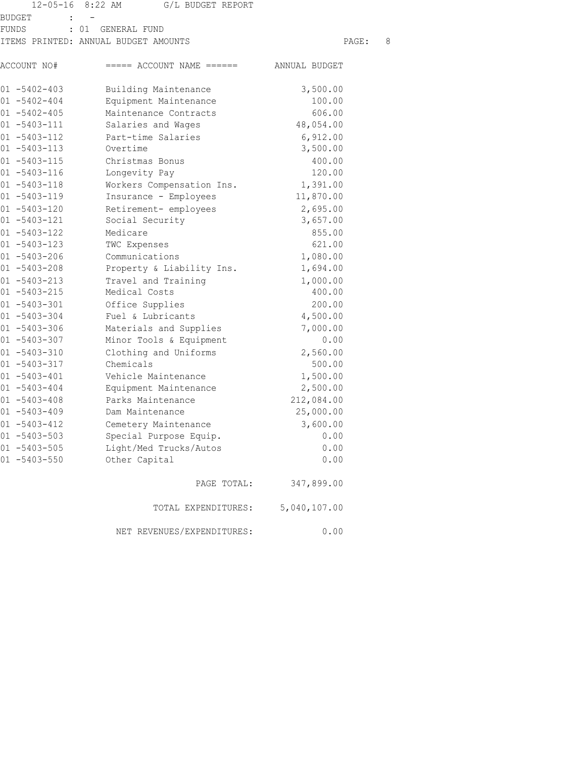|                                               | 12-05-16 8:22 AM<br>G/L BUDGET REPORT    |              |   |
|-----------------------------------------------|------------------------------------------|--------------|---|
| <b>BUDGET</b><br>$\sim$ 100 $\sim$ 100 $\sim$ |                                          |              |   |
| <b>FUNDS</b>                                  | : 01 GENERAL FUND                        |              |   |
|                                               | ITEMS PRINTED: ANNUAL BUDGET AMOUNTS     | PAGE:        | 8 |
| ACCOUNT NO#                                   | $====$ ACCOUNT NAME $====$ ANNUAL BUDGET |              |   |
| $01 - 5402 - 403$                             | Building Maintenance                     | 3,500.00     |   |
| $01 - 5402 - 404$                             | Equipment Maintenance                    | 100.00       |   |
| $01 - 5402 - 405$                             | Maintenance Contracts                    | 606.00       |   |
| $01 - 5403 - 111$                             | Salaries and Wages                       | 48,054.00    |   |
| $01 - 5403 - 112$                             | Part-time Salaries                       | 6,912.00     |   |
| $01 - 5403 - 113$                             | Overtime                                 | 3,500.00     |   |
| $01 - 5403 - 115$                             | Christmas Bonus                          | 400.00       |   |
| $01 - 5403 - 116$                             | Longevity Pay                            | 120.00       |   |
| $01 - 5403 - 118$                             | Workers Compensation Ins.                | 1,391.00     |   |
| $01 - 5403 - 119$                             | Insurance - Employees                    | 11,870.00    |   |
| $01 - 5403 - 120$                             | Retirement- employees                    | 2,695.00     |   |
| $01 - 5403 - 121$                             | Social Security                          | 3,657.00     |   |
| $01 - 5403 - 122$                             | Medicare                                 | 855.00       |   |
| $01 - 5403 - 123$                             | TWC Expenses                             | 621.00       |   |
| $01 - 5403 - 206$                             | Communications                           | 1,080.00     |   |
| $01 - 5403 - 208$                             | Property & Liability Ins.                | 1,694.00     |   |
| $01 - 5403 - 213$                             | Travel and Training                      | 1,000.00     |   |
| $01 - 5403 - 215$                             | Medical Costs                            | 400.00       |   |
| $01 - 5403 - 301$                             | Office Supplies                          | 200.00       |   |
| $01 - 5403 - 304$                             | Fuel & Lubricants                        | 4,500.00     |   |
| $01 - 5403 - 306$                             | Materials and Supplies                   | 7,000.00     |   |
| $01 - 5403 - 307$                             | Minor Tools & Equipment                  | 0.00         |   |
| $01 - 5403 - 310$                             | Clothing and Uniforms                    | 2,560.00     |   |
| $01 - 5403 - 317$                             | Chemicals                                | 500.00       |   |
| $01 - 5403 - 401$                             | Vehicle Maintenance                      | 1,500.00     |   |
| $01 - 5403 - 404$                             | Equipment Maintenance                    | 2,500.00     |   |
| $01 - 5403 - 408$                             | Parks Maintenance                        | 212,084.00   |   |
| $01 - 5403 - 409$                             | Dam Maintenance                          | 25,000.00    |   |
| $01 - 5403 - 412$                             | Cemetery Maintenance                     | 3,600.00     |   |
| $01 - 5403 - 503$                             | Special Purpose Equip.                   | 0.00         |   |
| $01 - 5403 - 505$                             | Light/Med Trucks/Autos                   | 0.00         |   |
| $01 - 5403 - 550$                             | Other Capital                            | 0.00         |   |
|                                               | PAGE TOTAL:                              | 347,899.00   |   |
|                                               | TOTAL EXPENDITURES:                      | 5,040,107.00 |   |
|                                               | NET REVENUES/EXPENDITURES:               | 0.00         |   |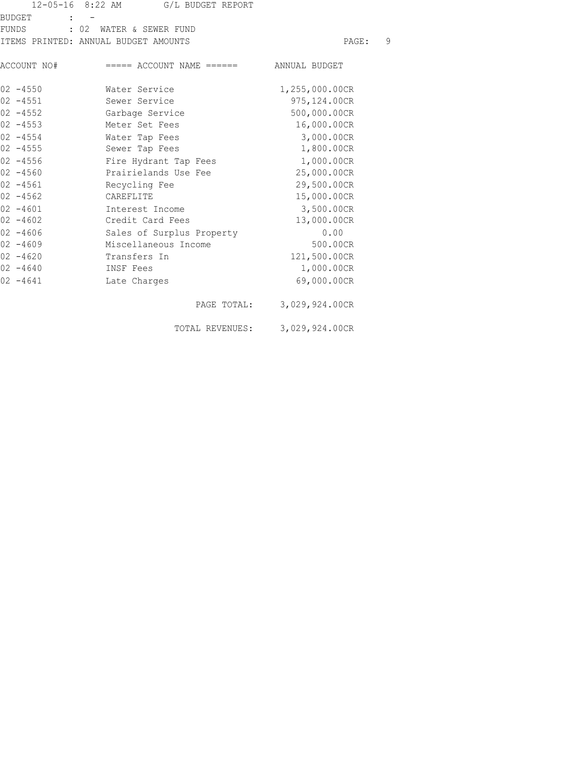|               | 12-05-16 8:22 AM G/L BUDGET REPORT                  |                |   |
|---------------|-----------------------------------------------------|----------------|---|
| <b>BUDGET</b> |                                                     |                |   |
|               | FUNDS : 02 WATER & SEWER FUND                       |                |   |
|               | ITEMS PRINTED: ANNUAL BUDGET AMOUNTS                | PAGE:          | 9 |
|               | ACCOUNT NO# ===== ACCOUNT NAME ====== ANNUAL BUDGET |                |   |
| $02 - 4550$   | Water Service                                       | 1,255,000.00CR |   |
| $02 - 4551$   | Sewer Service                                       | 975, 124.00CR  |   |
| $02 - 4552$   | Garbage Service                                     | 500,000.00CR   |   |
| $02 - 4553$   | Meter Set Fees                                      | 16,000.00CR    |   |
| $02 - 4554$   | Water Tap Fees                                      | 3,000.00CR     |   |
| $02 - 4555$   | Sewer Tap Fees                                      | 1,800.00CR     |   |
| $02 - 4556$   | Fire Hydrant Tap Fees                               | 1,000.00CR     |   |
| $02 - 4560$   | Prairielands Use Fee                                | 25,000.00CR    |   |
| $02 - 4561$   | Recycling Fee                                       | 29,500.00CR    |   |
| $02 - 4562$   | CAREFLITE                                           | 15,000.00CR    |   |
| $02 - 4601$   | Interest Income                                     | 3,500.00CR     |   |
| $02 - 4602$   | Credit Card Fees                                    | 13,000.00CR    |   |
| $02 - 4606$   | Sales of Surplus Property                           | 0.00           |   |
| $02 - 4609$   | Miscellaneous Income                                | 500.00CR       |   |
| $02 - 4620$   | Transfers In                                        | 121,500.00CR   |   |
| $02 - 4640$   | INSF Fees                                           | 1,000.00CR     |   |
| $02 - 4641$   | Late Charges                                        | 69,000.00CR    |   |
|               | PAGE TOTAL:                                         | 3,029,924.00CR |   |
|               | TOTAL REVENUES:                                     | 3,029,924.00CR |   |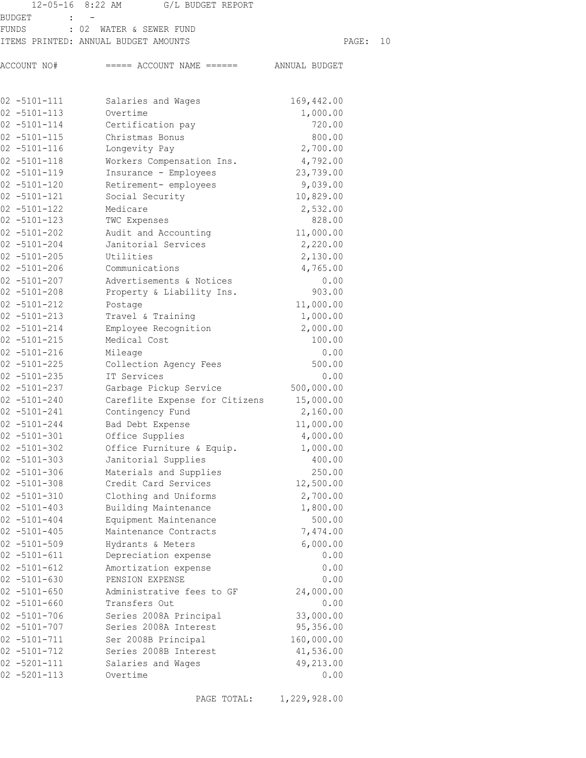|                                        | 12-05-16 8:22 AM G/L BUDGET REPORT               |              |    |
|----------------------------------------|--------------------------------------------------|--------------|----|
| BUDGET                                 |                                                  |              |    |
| FUNDS                                  | : 02 WATER & SEWER FUND                          |              |    |
|                                        | ITEMS PRINTED: ANNUAL BUDGET AMOUNTS             | PAGE:        | 10 |
| ACCOUNT NO#                            | $====$ ACCOUNT NAME $====$ ANNUAL BUDGET         |              |    |
| $02 - 5101 - 111$                      | 169,442.00<br>Salaries and Wages                 |              |    |
| $02 - 5101 - 113$                      | Overtime<br>1,000.00                             |              |    |
| $02 - 5101 - 114$                      | Certification pay                                | 720.00       |    |
| $02 - 5101 - 115$                      | Christmas Bonus                                  | 800.00       |    |
| $02 - 5101 - 116$                      | Longevity Pay<br>2,700.00                        |              |    |
| $02 - 5101 - 118$                      | Workers Compensation Ins.<br>4,792.00            |              |    |
| $02 - 5101 - 119$                      | Insurance - Employees<br>23,739.00               |              |    |
| $02 - 5101 - 120$                      | 9,039.00<br>Retirement- employees                |              |    |
| $02 - 5101 - 121$                      | Social Security<br>10,829.00                     |              |    |
| $02 - 5101 - 122$                      | Medicare<br>2,532.00                             |              |    |
| $02 - 5101 - 123$                      | TWC Expenses                                     | 828.00       |    |
| $02 - 5101 - 202$                      | Audit and Accounting<br>11,000.00                |              |    |
| $02 - 5101 - 204$                      | Janitorial Services<br>2,220.00                  |              |    |
| $02 - 5101 - 205$                      | Utilities<br>2,130.00                            |              |    |
| $02 - 5101 - 206$                      | Communications<br>4,765.00                       |              |    |
| $02 - 5101 - 207$                      | Advertisements & Notices                         | 0.00         |    |
| $02 - 5101 - 208$                      | Property & Liability Ins.                        | 903.00       |    |
| $02 - 5101 - 212$                      | 11,000.00<br>Postage                             |              |    |
| $02 - 5101 - 213$                      | Travel & Training<br>1,000.00                    |              |    |
| $02 - 5101 - 214$<br>$02 - 5101 - 215$ | 2,000.00<br>Employee Recognition<br>Medical Cost | 100.00       |    |
| $02 - 5101 - 216$                      | Mileage                                          | 0.00         |    |
| $02 - 5101 - 225$                      | Collection Agency Fees                           | 500.00       |    |
| $02 - 5101 - 235$                      | IT Services                                      | 0.00         |    |
| $02 - 5101 - 237$                      | Garbage Pickup Service<br>500,000.00             |              |    |
| $02 - 5101 - 240$                      | Careflite Expense for Citizens<br>15,000.00      |              |    |
| $02 - 5101 - 241$                      | Contingency Fund<br>2,160.00                     |              |    |
| $02 - 5101 - 244$                      | 11,000.00<br>Bad Debt Expense                    |              |    |
| $02 - 5101 - 301$                      | Office Supplies<br>4,000.00                      |              |    |
| $02 - 5101 - 302$                      | Office Furniture & Equip.<br>1,000.00            |              |    |
| $02 - 5101 - 303$                      | Janitorial Supplies                              | 400.00       |    |
| $02 - 5101 - 306$                      | Materials and Supplies                           | 250.00       |    |
| $02 - 5101 - 308$                      | Credit Card Services<br>12,500.00                |              |    |
| $02 - 5101 - 310$                      | 2,700.00<br>Clothing and Uniforms                |              |    |
| $02 - 5101 - 403$                      | Building Maintenance<br>1,800.00                 |              |    |
| $02 - 5101 - 404$                      | Equipment Maintenance                            | 500.00       |    |
| $02 - 5101 - 405$                      | Maintenance Contracts<br>7,474.00                |              |    |
| $02 - 5101 - 509$                      | Hydrants & Meters<br>6,000.00                    |              |    |
| $02 - 5101 - 611$<br>$02 - 5101 - 612$ | Depreciation expense<br>Amortization expense     | 0.00<br>0.00 |    |
| $02 - 5101 - 630$                      | PENSION EXPENSE                                  | 0.00         |    |
| $02 - 5101 - 650$                      | Administrative fees to GF<br>24,000.00           |              |    |
| $02 - 5101 - 660$                      | Transfers Out                                    | 0.00         |    |
| $02 - 5101 - 706$                      | Series 2008A Principal<br>33,000.00              |              |    |
| $02 - 5101 - 707$                      | Series 2008A Interest<br>95,356.00               |              |    |
| $02 - 5101 - 711$                      | Ser 2008B Principal<br>160,000.00                |              |    |
| $02 - 5101 - 712$                      | Series 2008B Interest<br>41,536.00               |              |    |
| $02 - 5201 - 111$                      | 49,213.00<br>Salaries and Wages                  |              |    |
| $02 - 5201 - 113$                      | Overtime                                         | 0.00         |    |

PAGE TOTAL: 1,229,928.00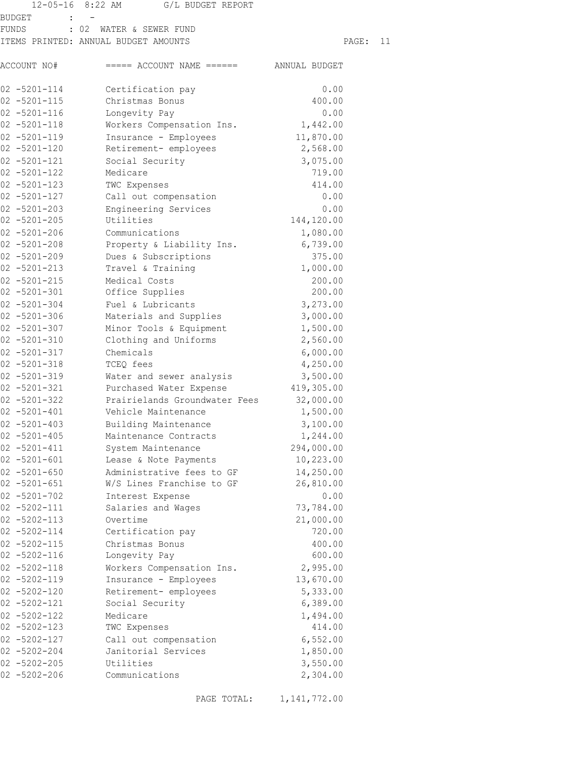|                                        | 12-05-16 8:22 AM<br>G/L BUDGET REPORT    |                     |    |
|----------------------------------------|------------------------------------------|---------------------|----|
| BUDGET                                 |                                          |                     |    |
| FUNDS                                  | : 02 WATER & SEWER FUND                  |                     |    |
|                                        | ITEMS PRINTED: ANNUAL BUDGET AMOUNTS     | PAGE:               | 11 |
| ACCOUNT NO#                            | $====$ ACCOUNT NAME $====$ ANNUAL BUDGET |                     |    |
| $02 - 5201 - 114$                      | Certification pay                        | 0.00                |    |
| $02 - 5201 - 115$                      | Christmas Bonus                          | 400.00              |    |
| $02 - 5201 - 116$                      | Longevity Pay                            | 0.00                |    |
| $02 - 5201 - 118$                      | Workers Compensation Ins.                | 1,442.00            |    |
| $02 - 5201 - 119$                      | Insurance - Employees                    | 11,870.00           |    |
| $02 - 5201 - 120$                      | Retirement- employees                    | 2,568.00            |    |
| $02 - 5201 - 121$                      | Social Security                          | 3,075.00            |    |
| $02 - 5201 - 122$                      | Medicare                                 | 719.00              |    |
| $02 - 5201 - 123$                      | TWC Expenses                             | 414.00              |    |
| $02 - 5201 - 127$                      | Call out compensation                    | 0.00                |    |
| $02 - 5201 - 203$                      | Engineering Services                     | 0.00                |    |
| $02 - 5201 - 205$                      | Utilities                                | 144,120.00          |    |
| $02 - 5201 - 206$                      | Communications                           | 1,080.00            |    |
| $02 - 5201 - 208$                      | Property & Liability Ins.                | 6,739.00            |    |
| $02 - 5201 - 209$                      | Dues & Subscriptions                     | 375.00              |    |
| $02 - 5201 - 213$                      | Travel & Training                        | 1,000.00            |    |
| $02 - 5201 - 215$                      | Medical Costs                            | 200.00              |    |
| $02 - 5201 - 301$                      | Office Supplies                          | 200.00              |    |
| $02 - 5201 - 304$                      | Fuel & Lubricants                        | 3,273.00            |    |
| $02 - 5201 - 306$                      | Materials and Supplies                   | 3,000.00            |    |
| $02 - 5201 - 307$                      | Minor Tools & Equipment                  | 1,500.00            |    |
| $02 - 5201 - 310$                      | Clothing and Uniforms                    | 2,560.00            |    |
| $02 - 5201 - 317$                      | Chemicals                                | 6,000.00            |    |
| $02 - 5201 - 318$                      | TCEQ fees                                | 4,250.00            |    |
| $02 - 5201 - 319$                      | Water and sewer analysis                 | 3,500.00            |    |
| $02 - 5201 - 321$                      | Purchased Water Expense                  | 419,305.00          |    |
| $02 - 5201 - 322$                      | Prairielands Groundwater Fees            | 32,000.00           |    |
| $02 - 5201 - 401$                      | Vehicle Maintenance                      | 1,500.00            |    |
| $02 - 5201 - 403$                      | Building Maintenance                     | 3,100.00            |    |
| $02 - 5201 - 405$                      | Maintenance Contracts                    | 1,244.00            |    |
| $02 - 5201 - 411$                      | System Maintenance                       | 294,000.00          |    |
| $02 - 5201 - 601$                      | Lease & Note Payments                    | 10,223.00           |    |
| $02 - 5201 - 650$                      | Administrative fees to GF                | 14,250.00           |    |
| $02 - 5201 - 651$                      | W/S Lines Franchise to GF                | 26,810.00           |    |
| $02 - 5201 - 702$<br>$02 - 5202 - 111$ | Interest Expense<br>Salaries and Wages   | 0.00<br>73,784.00   |    |
| $02 - 5202 - 113$                      | Overtime                                 |                     |    |
| $02 - 5202 - 114$                      | Certification pay                        | 21,000.00<br>720.00 |    |
| $02 - 5202 - 115$                      | Christmas Bonus                          | 400.00              |    |
| $02 - 5202 - 116$                      | Longevity Pay                            | 600.00              |    |
| $02 - 5202 - 118$                      | Workers Compensation Ins.                | 2,995.00            |    |
| $02 - 5202 - 119$                      | Insurance - Employees                    | 13,670.00           |    |
| $02 - 5202 - 120$                      | Retirement- employees                    | 5,333.00            |    |
| $02 - 5202 - 121$                      | Social Security                          | 6,389.00            |    |
| $02 - 5202 - 122$                      | Medicare                                 | 1,494.00            |    |
| $02 - 5202 - 123$                      | TWC Expenses                             | 414.00              |    |
| $02 - 5202 - 127$                      | Call out compensation                    | 6,552.00            |    |
| $02 - 5202 - 204$                      | Janitorial Services                      | 1,850.00            |    |
| $02 - 5202 - 205$                      | Utilities                                | 3,550.00            |    |
| $02 - 5202 - 206$                      | Communications                           | 2,304.00            |    |

PAGE TOTAL: 1,141,772.00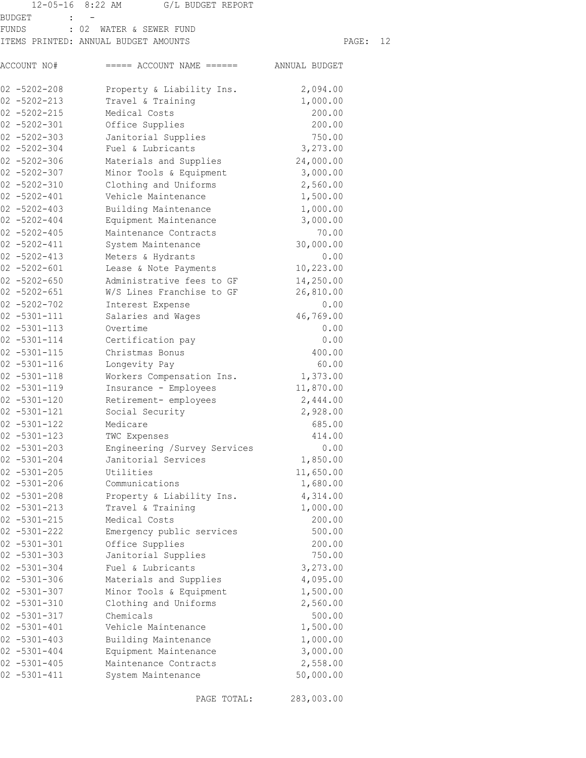|                                             | 12-05-16 8:22 AM G/L BUDGET REPORT       |           |    |
|---------------------------------------------|------------------------------------------|-----------|----|
| BUDGET<br><b>Contract Contract Contract</b> |                                          |           |    |
| FUNDS                                       | : 02 WATER & SEWER FUND                  |           |    |
|                                             | ITEMS PRINTED: ANNUAL BUDGET AMOUNTS     | PAGE:     | 12 |
| ACCOUNT NO#                                 | $====$ ACCOUNT NAME $====$ ANNUAL BUDGET |           |    |
| $02 - 5202 - 208$                           | Property & Liability Ins.                | 2,094.00  |    |
| $02 - 5202 - 213$                           | Travel & Training                        | 1,000.00  |    |
| $02 - 5202 - 215$                           | Medical Costs                            | 200.00    |    |
| $02 - 5202 - 301$                           | Office Supplies                          | 200.00    |    |
| $02 - 5202 - 303$                           | Janitorial Supplies                      | 750.00    |    |
| $02 - 5202 - 304$                           | Fuel & Lubricants                        | 3,273.00  |    |
| $02 - 5202 - 306$                           | Materials and Supplies                   | 24,000.00 |    |
| $02 - 5202 - 307$                           | Minor Tools & Equipment                  | 3,000.00  |    |
| $02 - 5202 - 310$                           | Clothing and Uniforms                    | 2,560.00  |    |
| $02 - 5202 - 401$                           | Vehicle Maintenance                      | 1,500.00  |    |
| $02 - 5202 - 403$                           | Building Maintenance                     | 1,000.00  |    |
| $02 - 5202 - 404$                           | Equipment Maintenance                    | 3,000.00  |    |
| $02 - 5202 - 405$                           | Maintenance Contracts                    | 70.00     |    |
| $02 - 5202 - 411$                           | System Maintenance                       | 30,000.00 |    |
| $02 - 5202 - 413$                           | Meters & Hydrants                        | 0.00      |    |
| $02 - 5202 - 601$                           | Lease & Note Payments                    | 10,223.00 |    |
| $02 - 5202 - 650$                           | Administrative fees to GF                | 14,250.00 |    |
| $02 - 5202 - 651$                           | W/S Lines Franchise to GF                | 26,810.00 |    |
| $02 - 5202 - 702$                           | Interest Expense                         | 0.00      |    |
| $02 - 5301 - 111$                           | Salaries and Wages                       | 46,769.00 |    |
| $02 - 5301 - 113$                           | Overtime                                 | 0.00      |    |
| $02 - 5301 - 114$                           | Certification pay                        | 0.00      |    |
| $02 - 5301 - 115$                           | Christmas Bonus                          | 400.00    |    |
| $02 - 5301 - 116$                           | Longevity Pay                            | 60.00     |    |
| $02 - 5301 - 118$                           | Workers Compensation Ins. 1,373.00       | 11,870.00 |    |
| $02 - 5301 - 119$<br>$02 - 5301 - 120$      | Insurance - Employees                    | 2,444.00  |    |
| $02 - 5301 - 121$                           | Retirement- employees<br>Social Security | 2,928.00  |    |
| $02 - 5301 - 122$                           | Medicare                                 | 685.00    |    |
| $02 - 5301 - 123$                           | TWC Expenses                             | 414.00    |    |
| $02 - 5301 - 203$                           | Engineering /Survey Services             | 0.00      |    |
| $02 - 5301 - 204$                           | Janitorial Services                      | 1,850.00  |    |
| $02 - 5301 - 205$                           | Utilities                                | 11,650.00 |    |
| $02 - 5301 - 206$                           | Communications                           | 1,680.00  |    |
| $02 - 5301 - 208$                           | Property & Liability Ins.                | 4,314.00  |    |
| $02 - 5301 - 213$                           | Travel & Training                        | 1,000.00  |    |
| $02 - 5301 - 215$                           | Medical Costs                            | 200.00    |    |
| $02 - 5301 - 222$                           | Emergency public services                | 500.00    |    |
| $02 - 5301 - 301$                           | Office Supplies                          | 200.00    |    |
| $02 - 5301 - 303$                           | Janitorial Supplies                      | 750.00    |    |
| $02 - 5301 - 304$                           | Fuel & Lubricants                        | 3,273.00  |    |
| $02 - 5301 - 306$                           | Materials and Supplies                   | 4,095.00  |    |
| $02 - 5301 - 307$                           | Minor Tools & Equipment                  | 1,500.00  |    |
| $02 - 5301 - 310$                           | Clothing and Uniforms                    | 2,560.00  |    |
| $02 - 5301 - 317$                           | Chemicals                                | 500.00    |    |
| $02 - 5301 - 401$                           | Vehicle Maintenance                      | 1,500.00  |    |
| $02 - 5301 - 403$                           | Building Maintenance                     | 1,000.00  |    |
| $02 - 5301 - 404$                           | Equipment Maintenance                    | 3,000.00  |    |
| $02 - 5301 - 405$                           | Maintenance Contracts                    | 2,558.00  |    |
| $02 - 5301 - 411$                           | System Maintenance                       | 50,000.00 |    |

PAGE TOTAL: 283,003.00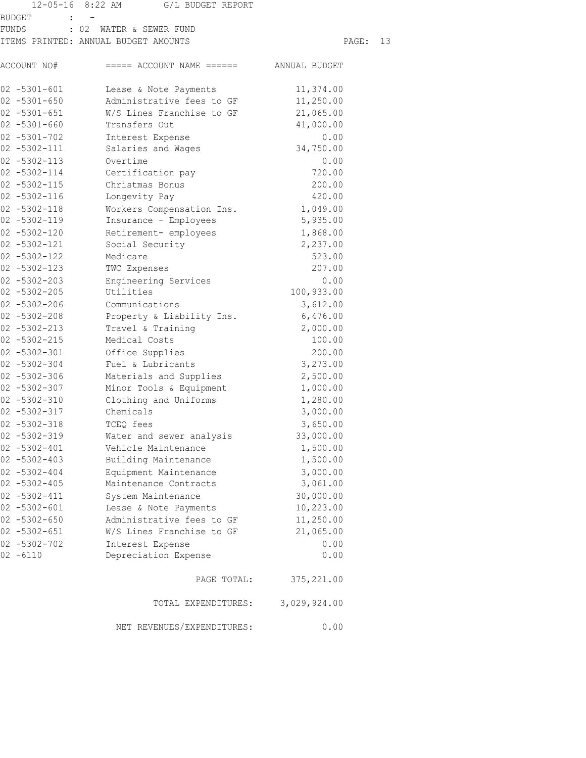|                   | 12-05-16 8:22 AM G/L BUDGET REPORT       |              |       |    |
|-------------------|------------------------------------------|--------------|-------|----|
| BUDGET            |                                          |              |       |    |
| FUNDS             | : 02 WATER & SEWER FUND                  |              |       |    |
|                   | ITEMS PRINTED: ANNUAL BUDGET AMOUNTS     |              | PAGE: | 13 |
| ACCOUNT NO#       | $====$ ACCOUNT NAME $====$ ANNUAL BUDGET |              |       |    |
| 02 -5301-601      | Lease & Note Payments                    | 11,374.00    |       |    |
| $02 - 5301 - 650$ | Administrative fees to GF                | 11,250.00    |       |    |
| $02 - 5301 - 651$ | W/S Lines Franchise to GF                | 21,065.00    |       |    |
| $02 - 5301 - 660$ | Transfers Out                            | 41,000.00    |       |    |
| $02 - 5301 - 702$ | Interest Expense                         | 0.00         |       |    |
| $02 - 5302 - 111$ | Salaries and Wages                       | 34,750.00    |       |    |
| $02 - 5302 - 113$ | Overtime                                 | 0.00         |       |    |
| $02 - 5302 - 114$ | Certification pay                        | 720.00       |       |    |
| $02 - 5302 - 115$ | Christmas Bonus                          | 200.00       |       |    |
| $02 - 5302 - 116$ | Longevity Pay                            | 420.00       |       |    |
| $02 - 5302 - 118$ | Workers Compensation Ins.                | 1,049.00     |       |    |
| $02 - 5302 - 119$ | Insurance - Employees                    | 5,935.00     |       |    |
| $02 - 5302 - 120$ | Retirement- employees                    | 1,868.00     |       |    |
| 02 -5302-121      | Social Security                          | 2,237.00     |       |    |
| $02 - 5302 - 122$ | Medicare                                 | 523.00       |       |    |
| $02 - 5302 - 123$ | TWC Expenses                             | 207.00       |       |    |
| $02 - 5302 - 203$ | Engineering Services                     | 0.00         |       |    |
| $02 - 5302 - 205$ | Utilities                                | 100,933.00   |       |    |
| $02 - 5302 - 206$ | Communications                           | 3,612.00     |       |    |
| $02 - 5302 - 208$ | Property & Liability Ins.                | 6,476.00     |       |    |
| $02 - 5302 - 213$ | Travel & Training                        | 2,000.00     |       |    |
| $02 - 5302 - 215$ | Medical Costs                            | 100.00       |       |    |
| $02 - 5302 - 301$ | Office Supplies                          | 200.00       |       |    |
| $02 - 5302 - 304$ | Fuel & Lubricants                        | 3,273.00     |       |    |
| $02 - 5302 - 306$ | Materials and Supplies                   | 2,500.00     |       |    |
| $02 - 5302 - 307$ | Minor Tools & Equipment                  | 1,000.00     |       |    |
| $02 - 5302 - 310$ | Clothing and Uniforms                    | 1,280.00     |       |    |
| $02 - 5302 - 317$ | Chemicals                                | 3,000.00     |       |    |
| $02 - 5302 - 318$ | TCEQ fees                                | 3,650.00     |       |    |
| $02 - 5302 - 319$ | Water and sewer analysis                 | 33,000.00    |       |    |
| $02 - 5302 - 401$ | Vehicle Maintenance                      | 1,500.00     |       |    |
| $02 - 5302 - 403$ | Building Maintenance                     | 1,500.00     |       |    |
| $02 - 5302 - 404$ | Equipment Maintenance                    | 3,000.00     |       |    |
| $02 - 5302 - 405$ | Maintenance Contracts                    | 3,061.00     |       |    |
| $02 - 5302 - 411$ | System Maintenance                       | 30,000.00    |       |    |
| $02 - 5302 - 601$ | Lease & Note Payments                    | 10,223.00    |       |    |
| $02 - 5302 - 650$ | Administrative fees to GF                | 11,250.00    |       |    |
| $02 - 5302 - 651$ | W/S Lines Franchise to GF                | 21,065.00    |       |    |
| $02 - 5302 - 702$ | Interest Expense                         | 0.00         |       |    |
| $02 - 6110$       | Depreciation Expense                     | 0.00         |       |    |
|                   | PAGE TOTAL:                              | 375, 221.00  |       |    |
|                   | TOTAL EXPENDITURES:                      | 3,029,924.00 |       |    |
|                   | NET REVENUES/EXPENDITURES:               | 0.00         |       |    |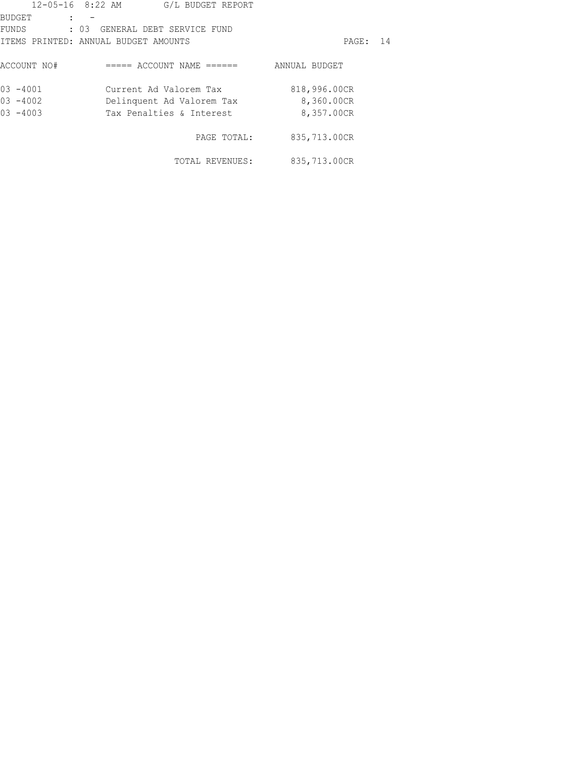|             | 12-05-16 8:22 AM<br>G/L BUDGET REPORT |               |  |
|-------------|---------------------------------------|---------------|--|
| BUDGET      |                                       |               |  |
| FUNDS       | : 03 GENERAL DEBT SERVICE FUND        |               |  |
|             | ITEMS PRINTED: ANNUAL BUDGET AMOUNTS  | PAGE: 14      |  |
| ACCOUNT NO# | ===== ACCOUNT NAME ======             | ANNUAL BUDGET |  |
| $03 - 4001$ | Current Ad Valorem Tax                | 818,996.00CR  |  |
| $03 - 4002$ | Delinquent Ad Valorem Tax             | 8,360.00CR    |  |
| $03 - 4003$ | Tax Penalties & Interest              | 8,357.00CR    |  |
|             | PAGE TOTAL:                           | 835,713.00CR  |  |
|             | TOTAL REVENUES:                       | 835,713.00CR  |  |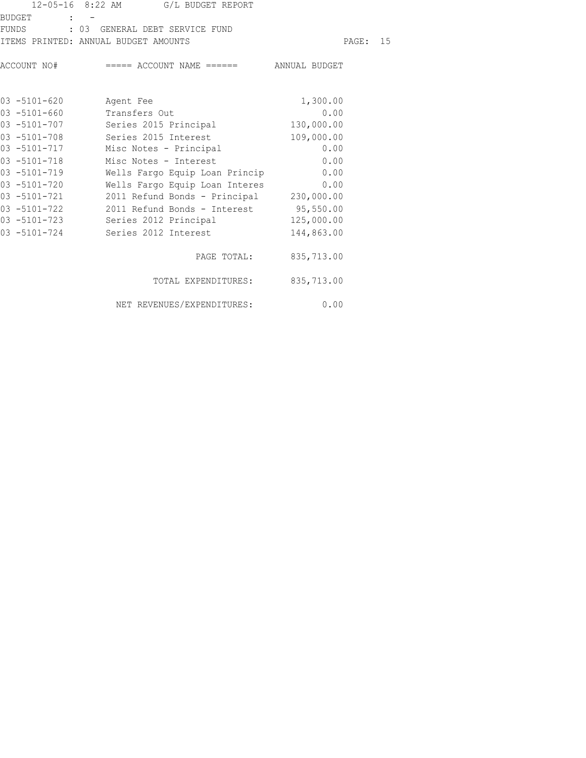|              | 12-05-16 8:22 AM G/L BUDGET REPORT                                                  |                        |  |
|--------------|-------------------------------------------------------------------------------------|------------------------|--|
| BUDGET : -   |                                                                                     |                        |  |
|              | FUNDS : 03 GENERAL DEBT SERVICE FUND                                                |                        |  |
|              | ITEMS PRINTED: ANNUAL BUDGET AMOUNTS                                                | PAGE: 15               |  |
|              | $\texttt{ACCOUNT}$ NO# $\texttt{-----}$ ACCOUNT NAME $\texttt{-----}$ ANNUAL BUDGET |                        |  |
| 03 -5101-620 | Agent Fee                                                                           | 1,300.00               |  |
|              | 03 -5101-660 Transfers Out                                                          | 0.00                   |  |
|              | 03 -5101-707 Series 2015 Principal                                                  | 130,000.00             |  |
| 03 -5101-708 | Series 2015 Interest                                                                | 109,000.00             |  |
| 03 -5101-717 | Misc Notes - Principal                                                              | 0.00                   |  |
| 03 -5101-718 | Misc Notes - Interest                                                               | 0.00                   |  |
| 03 -5101-719 | Wells Fargo Equip Loan Princip 0.00                                                 |                        |  |
| 03 -5101-720 | Wells Fargo Equip Loan Interes 0.00                                                 |                        |  |
| 03 -5101-721 | 2011 Refund Bonds - Principal 230,000.00                                            |                        |  |
| 03 -5101-722 | 2011 Refund Bonds - Interest 95,550.00                                              |                        |  |
| 03 -5101-723 | Series 2012 Principal 125,000.00                                                    |                        |  |
|              | 03 -5101-724 Series 2012 Interest                                                   | 144,863.00             |  |
|              |                                                                                     | PAGE TOTAL: 835,713.00 |  |
|              | TOTAL EXPENDITURES: 835,713.00                                                      |                        |  |
|              |                                                                                     |                        |  |

NET REVENUES/EXPENDITURES: 0.00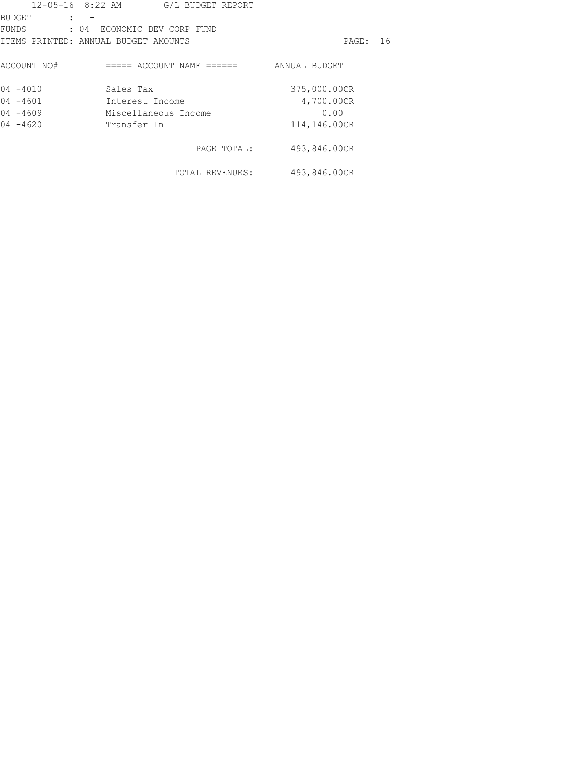|             | 12-05-16 8:22 AM G/L BUDGET REPORT   |               |      |
|-------------|--------------------------------------|---------------|------|
| BUDGET      |                                      |               |      |
| FUNDS       | : 04 ECONOMIC DEV CORP FUND          |               |      |
|             | ITEMS PRINTED: ANNUAL BUDGET AMOUNTS | PAGE :        | - 16 |
| ACCOUNT NO# | $====$ ACCOUNT NAME $====$           | ANNUAL BUDGET |      |
| $04 - 4010$ | Sales Tax                            | 375,000.00CR  |      |
| $04 - 4601$ | Interest Income                      | 4,700.00CR    |      |
| $04 - 4609$ | Miscellaneous Income                 | 0.00          |      |
| $04 - 4620$ | Transfer In                          | 114,146.00CR  |      |
|             | PAGE TOTAL:                          | 493,846.00CR  |      |
|             | TOTAL REVENUES:                      | 493,846.00CR  |      |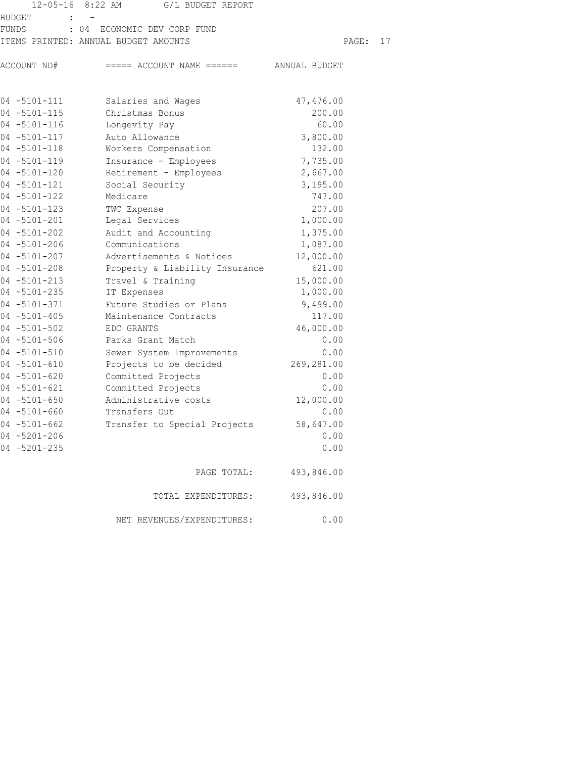|                                        | 12-05-16 8:22 AM G/L BUDGET REPORT       |            |          |  |
|----------------------------------------|------------------------------------------|------------|----------|--|
| $\sim 10^{-10}$ km s $^{-1}$<br>BUDGET |                                          |            |          |  |
|                                        | FUNDS : 04 ECONOMIC DEV CORP FUND        |            |          |  |
|                                        | ITEMS PRINTED: ANNUAL BUDGET AMOUNTS     |            | PAGE: 17 |  |
| ACCOUNT NO#                            | $====$ ACCOUNT NAME $====$ ANNUAL BUDGET |            |          |  |
|                                        |                                          |            |          |  |
| 04 -5101-111                           | Salaries and Wages                       | 47,476.00  |          |  |
| $04 - 5101 - 115$                      | Christmas Bonus                          | 200.00     |          |  |
| $04 - 5101 - 116$                      | Longevity Pay                            | 60.00      |          |  |
| 04 -5101-117                           | Auto Allowance                           | 3,800.00   |          |  |
| 04 -5101-118                           | Workers Compensation                     | 132.00     |          |  |
| 04 -5101-119                           | Insurance - Employees                    | 7,735.00   |          |  |
| 04 -5101-120                           | Retirement - Employees                   | 2,667.00   |          |  |
| $04 - 5101 - 121$                      | Social Security                          | 3,195.00   |          |  |
| 04 -5101-122                           | Medicare                                 | 747.00     |          |  |
| $04 - 5101 - 123$                      | TWC Expense                              | 207.00     |          |  |
| $04 - 5101 - 201$                      | Legal Services                           | 1,000.00   |          |  |
| $04 - 5101 - 202$                      | Audit and Accounting                     | 1,375.00   |          |  |
| 04 -5101-206                           | Communications                           | 1,087.00   |          |  |
| $04 - 5101 - 207$                      | Advertisements & Notices                 | 12,000.00  |          |  |
| 04 -5101-208                           | Property & Liability Insurance           | 621.00     |          |  |
| 04 -5101-213                           | Travel & Training                        | 15,000.00  |          |  |
| 04 -5101-235                           | IT Expenses                              | 1,000.00   |          |  |
| 04 -5101-371                           | Future Studies or Plans                  | 9,499.00   |          |  |
| $04 - 5101 - 405$                      | Maintenance Contracts                    | 117.00     |          |  |
| $04 - 5101 - 502$                      | EDC GRANTS                               | 46,000.00  |          |  |
| 04 -5101-506                           | Parks Grant Match                        | 0.00       |          |  |
| $04 - 5101 - 510$                      | Sewer System Improvements                | 0.00       |          |  |
| $04 - 5101 - 610$                      | Projects to be decided                   | 269,281.00 |          |  |
| $04 - 5101 - 620$                      | Committed Projects                       | 0.00       |          |  |
| $04 - 5101 - 621$                      | Committed Projects                       | 0.00       |          |  |
| $04 - 5101 - 650$                      | Administrative costs                     | 12,000.00  |          |  |
| $04 - 5101 - 660$                      | Transfers Out                            | 0.00       |          |  |
| $04 - 5101 - 662$                      | Transfer to Special Projects             | 58,647.00  |          |  |
| $04 - 5201 - 206$                      |                                          | 0.00       |          |  |
| $04 - 5201 - 235$                      |                                          | 0.00       |          |  |
|                                        | PAGE TOTAL:                              | 493,846.00 |          |  |
|                                        | TOTAL EXPENDITURES:                      | 493,846.00 |          |  |
|                                        | NET REVENUES/EXPENDITURES:               | 0.00       |          |  |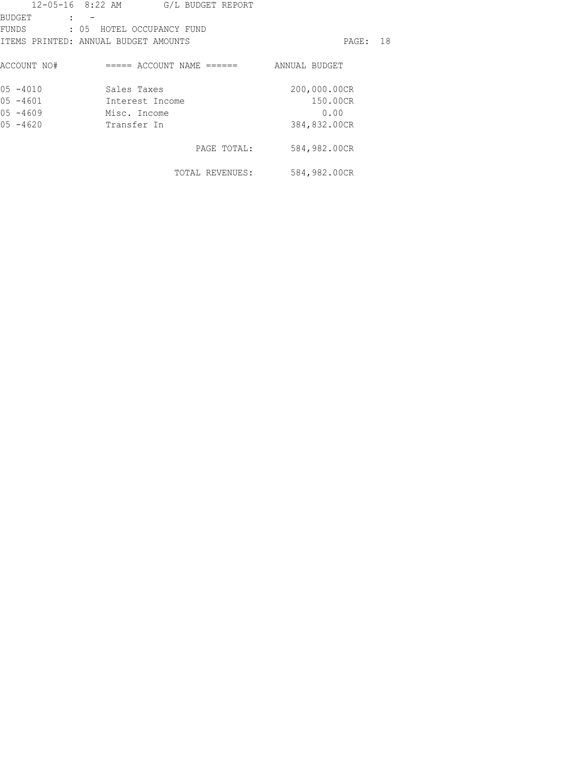|             | $12 - 05 - 16$ 8:22 AM<br>G/L BUDGET REPORT |               |  |
|-------------|---------------------------------------------|---------------|--|
| BUDGET      |                                             |               |  |
| FUNDS       | : 05 HOTEL OCCUPANCY FUND                   |               |  |
|             | ITEMS PRINTED: ANNUAL BUDGET AMOUNTS        | PAGE: 18      |  |
| ACCOUNT NO# | $====$ ACCOUNT NAME $====$                  | ANNUAL BUDGET |  |
| $05 - 4010$ | Sales Taxes                                 | 200,000.00CR  |  |
| $05 - 4601$ | Interest Income                             | 150.00CR      |  |
| $05 - 4609$ | Misc. Income                                | 0.00          |  |
| $05 - 4620$ | Transfer In                                 | 384,832.00CR  |  |
|             | PAGE TOTAL:                                 | 584,982.00CR  |  |
|             | TOTAL REVENUES:                             | 584,982.00CR  |  |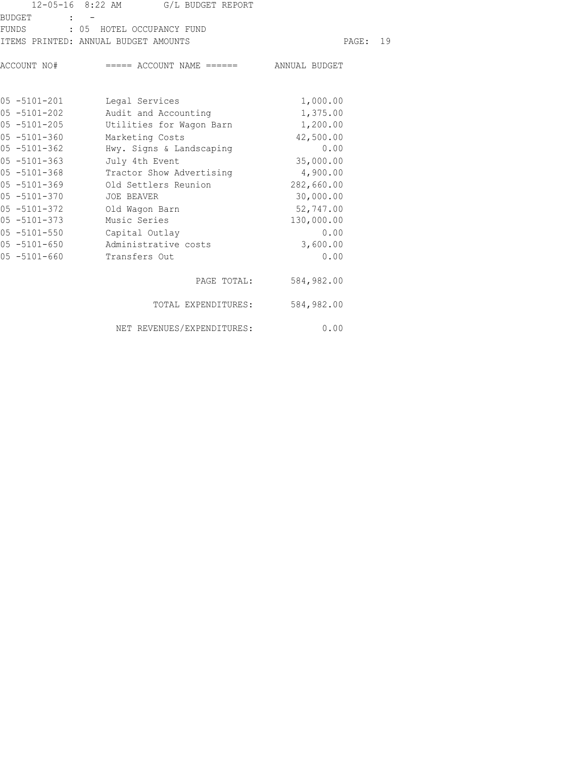|                   | 12-05-16 8:22 AM G/L BUDGET REPORT                  |            |  |
|-------------------|-----------------------------------------------------|------------|--|
| <b>BUDGET</b>     | $1 - 7$                                             |            |  |
|                   | FUNDS : 05 HOTEL OCCUPANCY FUND                     |            |  |
|                   | ITEMS PRINTED: ANNUAL BUDGET AMOUNTS                | PAGE: 19   |  |
|                   | ACCOUNT NO# ===== ACCOUNT NAME ====== ANNUAL BUDGET |            |  |
| 05 -5101-201      | Legal Services                                      | 1,000.00   |  |
| $05 - 5101 - 202$ | Audit and Accounting                                | 1,375.00   |  |
| $05 - 5101 - 205$ | Utilities for Wagon Barn                            | 1,200.00   |  |
| 05 -5101-360      | Marketing Costs                                     | 42,500.00  |  |
| $05 - 5101 - 362$ | Hwy. Signs & Landscaping                            | 0.00       |  |
| $05 - 5101 - 363$ | July 4th Event                                      | 35,000.00  |  |
| $05 - 5101 - 368$ | Tractor Show Advertising 4,900.00                   |            |  |
| $05 - 5101 - 369$ | Old Settlers Reunion                                | 282,660.00 |  |
| $05 - 5101 - 370$ | JOE BEAVER                                          | 30,000.00  |  |
| 05 -5101-372      | Old Wagon Barn                                      | 52,747.00  |  |
| 05 -5101-373      | Music Series                                        | 130,000.00 |  |
| $05 - 5101 - 550$ | Capital Outlay                                      | 0.00       |  |
| 05 -5101-650      | Administrative costs                                | 3,600.00   |  |
| 05 -5101-660      | Transfers Out                                       | 0.00       |  |
|                   | PAGE TOTAL:                                         | 584,982.00 |  |
|                   | TOTAL EXPENDITURES: 584,982.00                      |            |  |
|                   | NET REVENUES/EXPENDITURES:                          | 0.00       |  |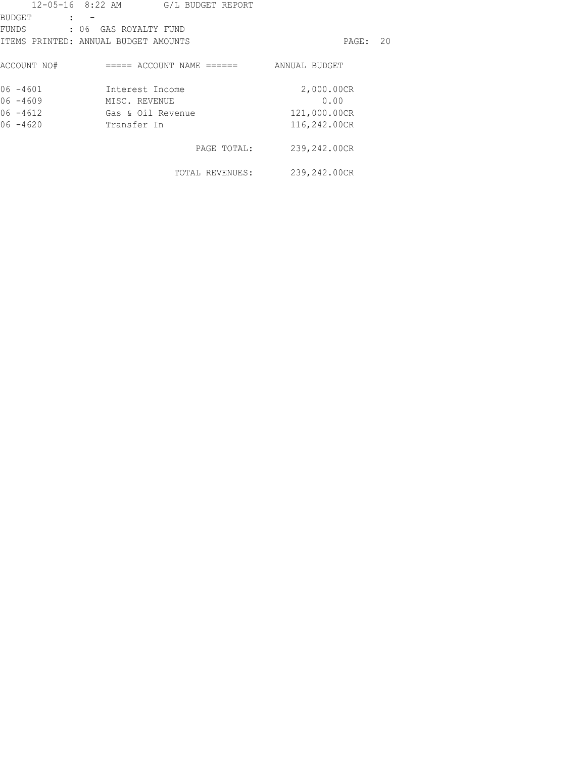|                                      |                       | 12-05-16 8:22 AM G/L BUDGET REPORT |               |    |
|--------------------------------------|-----------------------|------------------------------------|---------------|----|
| BUDGET                               |                       |                                    |               |    |
| FUNDS                                | : 06 GAS ROYALTY FUND |                                    |               |    |
| ITEMS PRINTED: ANNUAL BUDGET AMOUNTS |                       |                                    | PAGE:         | 20 |
| ACCOUNT NO#                          |                       | $====$ ACCOUNT NAME $====$         | ANNUAL BUDGET |    |
| $06 - 4601$                          | Interest Income       |                                    | 2,000.00CR    |    |
| $06 - 4609$                          | MISC. REVENUE         |                                    | 0.00          |    |
| $06 - 4612$                          |                       | Gas & Oil Revenue                  | 121,000.00CR  |    |
| $06 - 4620$                          | Transfer In           |                                    | 116,242.00CR  |    |
|                                      |                       | PAGE TOTAL:                        | 239,242.00CR  |    |
|                                      |                       | TOTAL REVENUES:                    | 239,242.00CR  |    |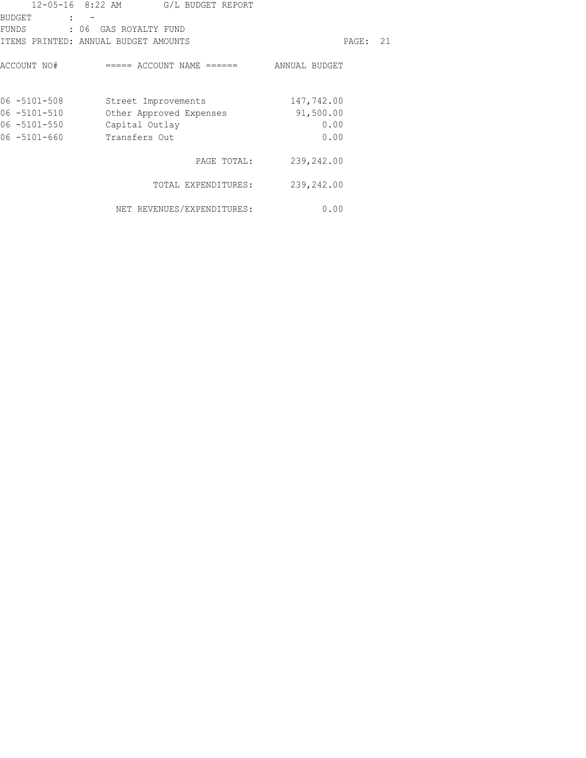|                   | $12 - 05 - 16$ 8:22 AM<br>G/L BUDGET REPORT |               |    |
|-------------------|---------------------------------------------|---------------|----|
| <b>BUDGET</b>     | $\mathbf{r}$                                |               |    |
| FUNDS             | : 06 GAS ROYALTY FUND                       |               |    |
|                   | ITEMS PRINTED: ANNUAL BUDGET AMOUNTS        | PAGE:         | 21 |
| ACCOUNT NO#       | ===== ACCOUNT NAME ======                   | ANNUAL BUDGET |    |
| $06 - 5101 - 508$ | Street Improvements                         | 147,742.00    |    |
| 06 -5101-510      | Other Approved Expenses                     | 91,500.00     |    |
| 06 -5101-550      | Capital Outlay                              | 0.00          |    |
| 06 -5101-660      | Transfers Out                               | 0.00          |    |
|                   | PAGE TOTAL:                                 | 239,242.00    |    |
|                   | TOTAL EXPENDITURES:                         | 239,242.00    |    |
|                   | NET REVENUES/EXPENDITURES:                  | 0.00          |    |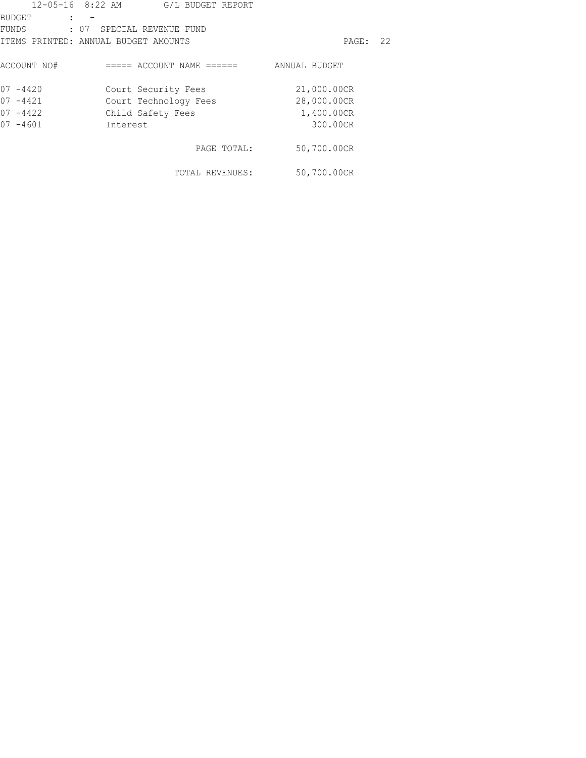|               | $12 - 05 - 16$ 8:22 AM<br>G/L BUDGET REPORT |               |    |
|---------------|---------------------------------------------|---------------|----|
| <b>BUDGET</b> |                                             |               |    |
| FUNDS         | : 07 SPECIAL REVENUE FUND                   |               |    |
|               | ITEMS PRINTED: ANNUAL BUDGET AMOUNTS        | PAGE :        | 22 |
| ACCOUNT NO#   | ===== ACCOUNT NAME ======                   | ANNUAL BUDGET |    |
| $07 - 4420$   | Court Security Fees                         | 21,000.00CR   |    |
| $07 - 4421$   | Court Technology Fees                       | 28,000.00CR   |    |
| $07 - 4422$   | Child Safety Fees                           | 1,400.00CR    |    |
| $07 - 4601$   | Interest                                    | 300.00CR      |    |
|               | PAGE TOTAL:                                 | 50,700.00CR   |    |
|               | TOTAL REVENUES:                             | 50,700.00CR   |    |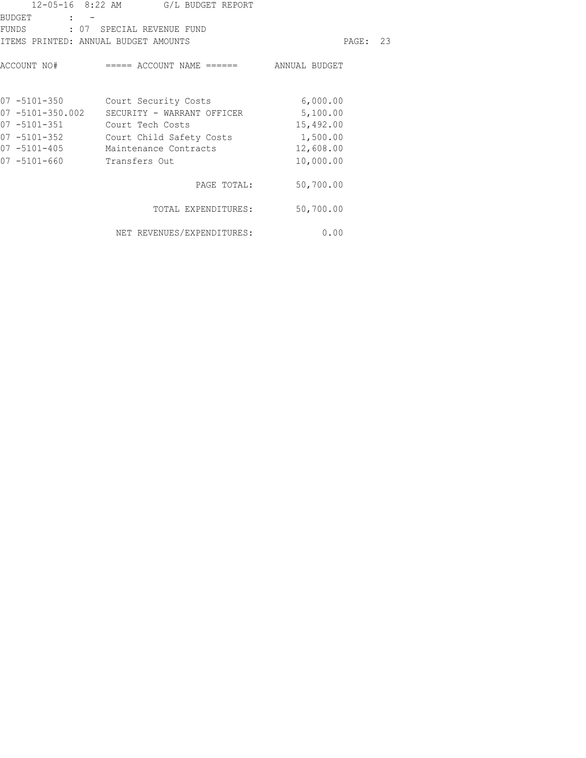|                                                      | 12-05-16 8:22 AM G/L BUDGET REPORT                                                           |           |  |
|------------------------------------------------------|----------------------------------------------------------------------------------------------|-----------|--|
| BUDGET<br>and the state of the state of the state of | FUNDS : 07 SPECIAL REVENUE FUND                                                              |           |  |
| ITEMS PRINTED: ANNUAL BUDGET AMOUNTS                 |                                                                                              | PAGE: 23  |  |
|                                                      | $\texttt{ACCOUNT}$ NO# $\texttt{====}$ $\texttt{ACCOUNT}$ NAME $\texttt{====}$ ANNUAL BUDGET |           |  |
|                                                      | 07 -5101-350 Court Security Costs                                                            | 6,000.00  |  |
|                                                      | 07 -5101-350.002 SECURITY - WARRANT OFFICER 5,100.00                                         |           |  |
| 07 -5101-351 Court Tech Costs                        |                                                                                              | 15,492.00 |  |
| $07 - 5101 - 352$                                    | Court Child Safety Costs 1,500.00                                                            |           |  |
| $07 - 5101 - 405$                                    | Maintenance Contracts                                                                        | 12,608.00 |  |
| $07 - 5101 - 660$                                    | Transfers Out                                                                                | 10,000.00 |  |
|                                                      | PAGE TOTAL:                                                                                  | 50,700.00 |  |
|                                                      | TOTAL EXPENDITURES: 50,700.00                                                                |           |  |
|                                                      | NET REVENUES/EXPENDITURES:                                                                   | 0.00      |  |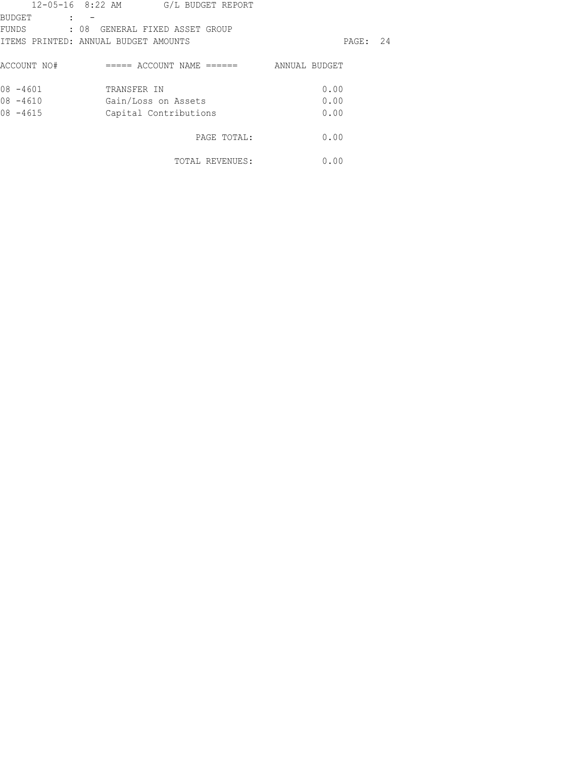|               | 12-05-16 8:22 AM G/L BUDGET REPORT   |               |  |
|---------------|--------------------------------------|---------------|--|
| <b>BUDGET</b> | $\mathbf{L}$                         |               |  |
|               | FUNDS : 08 GENERAL FIXED ASSET GROUP |               |  |
|               | ITEMS PRINTED: ANNUAL BUDGET AMOUNTS | PAGE: 24      |  |
| ACCOUNT NO#   | ===== ACCOUNT NAME ======            | ANNUAL BUDGET |  |
| $08 - 4601$   | TRANSFER IN                          | 0.00          |  |
| $08 - 4610$   | Gain/Loss on Assets                  | 0.00          |  |
| $08 - 4615$   | Capital Contributions                | 0.00          |  |
|               | PAGE TOTAL:                          | 0.00          |  |
|               | TOTAL REVENUES:                      | 0.00          |  |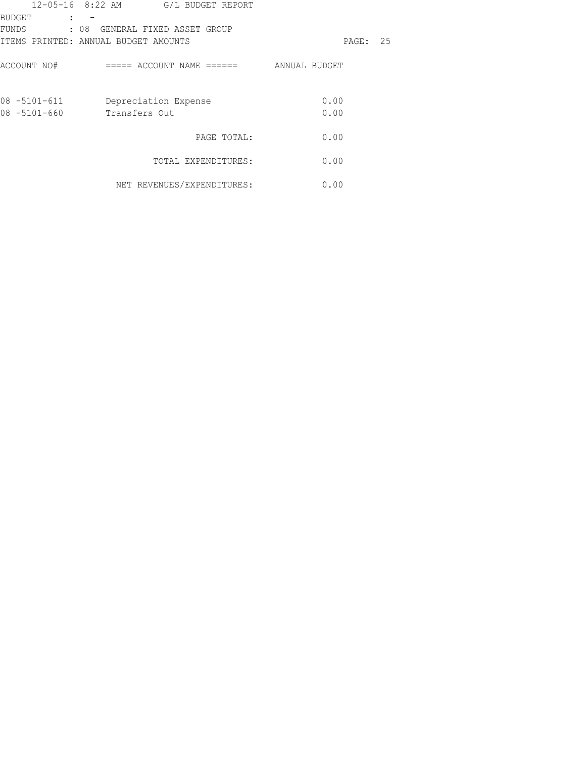|                   | 12-05-16 8:22 AM G/L BUDGET REPORT   |               |    |
|-------------------|--------------------------------------|---------------|----|
| <b>BUDGET</b>     |                                      |               |    |
| FUNDS             | : 08 GENERAL FIXED ASSET GROUP       |               |    |
|                   | ITEMS PRINTED: ANNUAL BUDGET AMOUNTS | PAGE:         | 25 |
| ACCOUNT NO#       | ===== ACCOUNT NAME ======            | ANNUAL BUDGET |    |
| 08 -5101-611      | Depreciation Expense                 | 0.00          |    |
| $08 - 5101 - 660$ | Transfers Out                        | 0.00          |    |
|                   | PAGE TOTAL:                          | 0.00          |    |
|                   | TOTAL EXPENDITURES:                  | 0.00          |    |
|                   | NET REVENUES/EXPENDITURES:           | 0.00          |    |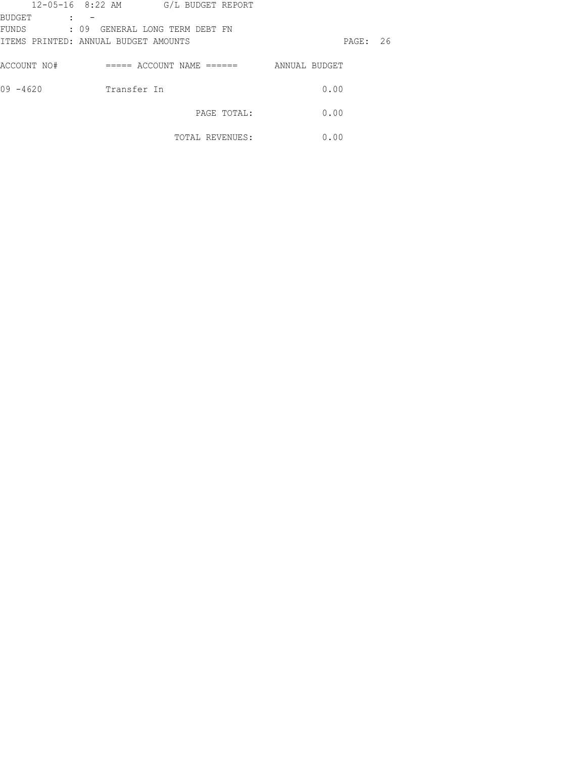|                                       | 12-05-16 8:22 AM                     | G/L BUDGET REPORT         |             |               |       |    |
|---------------------------------------|--------------------------------------|---------------------------|-------------|---------------|-------|----|
| <b>BUDGET</b><br>$\ddot{\phantom{a}}$ |                                      |                           |             |               |       |    |
| FUNDS                                 | : 09 GENERAL LONG TERM DEBT FN       |                           |             |               |       |    |
|                                       | ITEMS PRINTED: ANNUAL BUDGET AMOUNTS |                           |             |               | PAGE: | 26 |
|                                       |                                      |                           |             |               |       |    |
| ACCOUNT NO#                           |                                      | ===== ACCOUNT NAME ====== |             | ANNUAL BUDGET |       |    |
|                                       |                                      |                           |             |               |       |    |
| $09 - 4620$                           | Transfer In                          |                           |             |               | 0.00  |    |
|                                       |                                      |                           |             |               |       |    |
|                                       |                                      |                           | PAGE TOTAL: |               | 0.00  |    |
|                                       |                                      |                           |             |               |       |    |
|                                       |                                      | TOTAL REVENUES:           |             |               | 0.00  |    |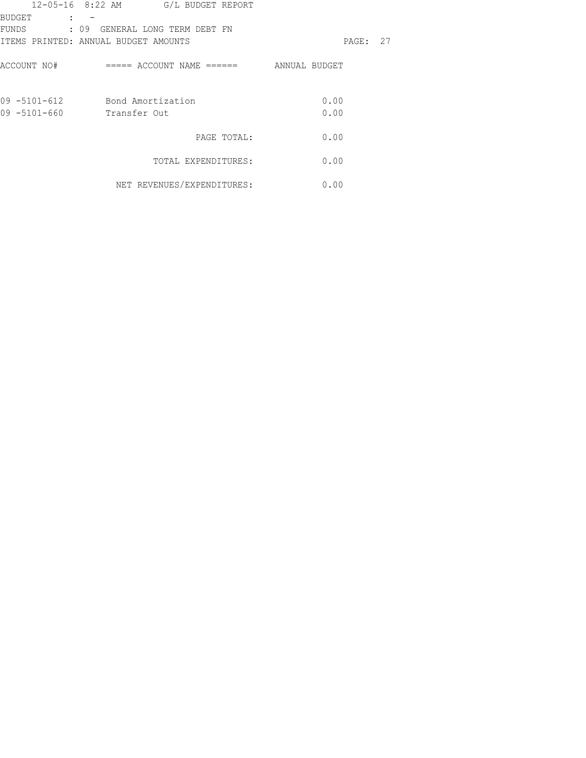|               | 12-05-16 8:22 AM G/L BUDGET REPORT   |          |  |
|---------------|--------------------------------------|----------|--|
| <b>BUDGET</b> |                                      |          |  |
|               | FUNDS : 09 GENERAL LONG TERM DEBT FN |          |  |
|               | ITEMS PRINTED: ANNUAL BUDGET AMOUNTS | PAGE: 27 |  |
| ACCOUNT NO#   |                                      |          |  |
|               | 09 -5101-612 Bond Amortization       | 0.00     |  |
| 09 -5101-660  | Transfer Out                         | 0.00     |  |
|               | PAGE TOTAL:                          | 0.00     |  |
|               | TOTAL EXPENDITURES:                  | 0.00     |  |
|               | NET REVENUES/EXPENDITURES:           | 0.00     |  |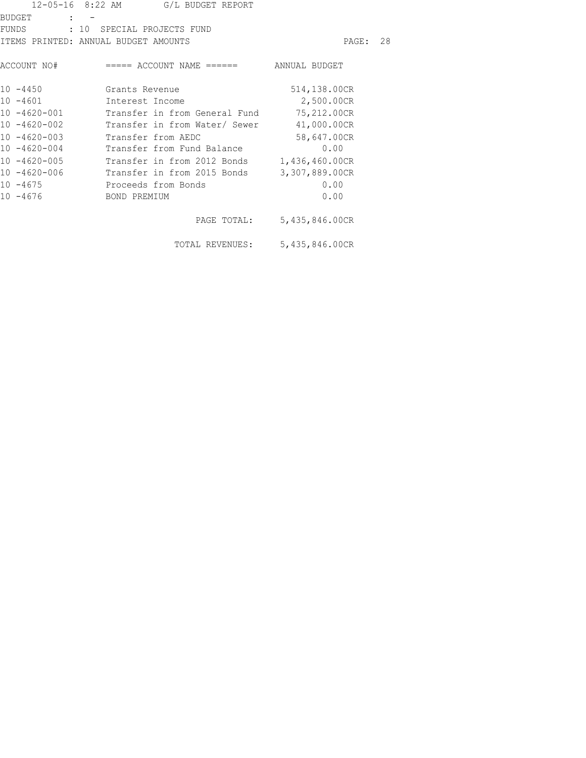|                   | 12-05-16 8:22 AM G/L BUDGET REPORT                  |                            |  |
|-------------------|-----------------------------------------------------|----------------------------|--|
| BUDGET : -        |                                                     |                            |  |
|                   | FUNDS : 10 SPECIAL PROJECTS FUND                    |                            |  |
|                   | ITEMS PRINTED: ANNUAL BUDGET AMOUNTS                | PAGE: 28                   |  |
|                   | ACCOUNT NO# ===== ACCOUNT NAME ====== ANNUAL BUDGET |                            |  |
|                   | 10 -4450 Grants Revenue                             | 514,138.00CR               |  |
| $10 - 4601$       | Interest Income                                     | 2,500.00CR                 |  |
| $10 - 4620 - 001$ | Transfer in from General Fund 75,212.00CR           |                            |  |
| $10 - 4620 - 002$ | Transfer in from Water/ Sewer 41,000.00CR           |                            |  |
| $10 - 4620 - 003$ | Transfer from AEDC                                  | 58,647.00CR                |  |
| $10 - 4620 - 004$ | Transfer from Fund Balance                          | 0.00                       |  |
| $10 - 4620 - 005$ | Transfer in from 2012 Bonds 1,436,460.00CR          |                            |  |
| $10 - 4620 - 006$ | Transfer in from 2015 Bonds                         | 3,307,889.00CR             |  |
|                   | 10 -4675 Proceeds from Bonds                        | 0.00                       |  |
|                   | 10 -4676 BOND PREMIUM                               | 0.00                       |  |
|                   |                                                     | PAGE TOTAL: 5,435,846.00CR |  |
|                   | TOTAL REVENUES: 5,435,846.00CR                      |                            |  |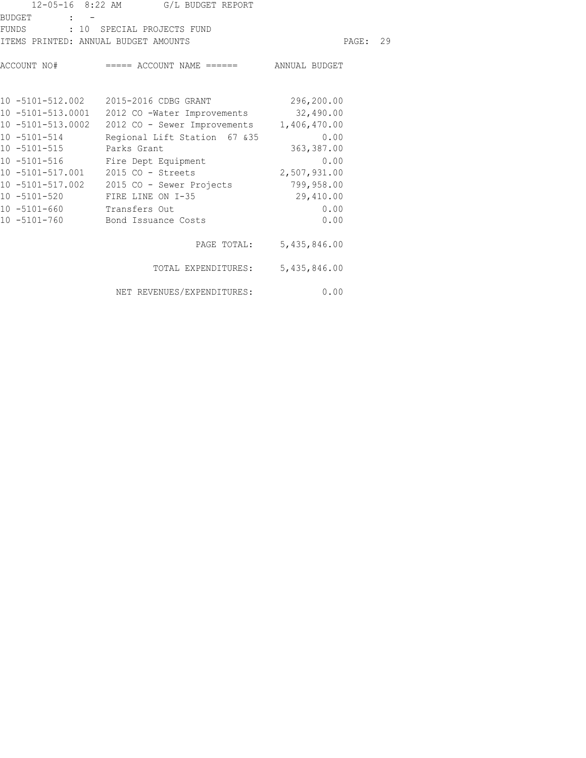|                                      | 12-05-16 8:22 AM G/L BUDGET REPORT                                                     |                          |  |
|--------------------------------------|----------------------------------------------------------------------------------------|--------------------------|--|
| BUDGET : -                           |                                                                                        |                          |  |
|                                      | FUNDS : 10 SPECIAL PROJECTS FUND                                                       |                          |  |
| ITEMS PRINTED: ANNUAL BUDGET AMOUNTS |                                                                                        | PAGE: 29                 |  |
|                                      | ACCOUNT NO# ===== ACCOUNT NAME ====== ANNUAL BUDGET                                    |                          |  |
|                                      | 10 -5101-512.002 2015-2016 CDBG GRANT 296,200.00                                       |                          |  |
|                                      | 10 -5101-513.0001 2012 CO -Water Improvements 32,490.00                                |                          |  |
|                                      | 10 -5101-513.0002 2012 CO - Sewer Improvements 1,406,470.00                            |                          |  |
|                                      | 10 -5101-514 Regional Lift Station 67 & 35 0.00                                        |                          |  |
|                                      | 10 -5101-516<br>10 -5101-516 Fire Dept Equipment<br>10 -5101-517.001 2015 Co - China L | 363,387.00               |  |
|                                      |                                                                                        | 0.00                     |  |
|                                      | 10 -5101-517.001   2015 CO - Streets                                                   | 2,507,931.00             |  |
|                                      | 10 -5101-517.002 2015 CO - Sewer Projects 799,958.00                                   |                          |  |
|                                      | 10 -5101-520 FIRE LINE ON I-35                                                         | 29,410.00                |  |
| 10 -5101-660 Transfers Out           |                                                                                        | 0.00                     |  |
|                                      | 10 -5101-760 Bond Issuance Costs                                                       | 0.00                     |  |
|                                      |                                                                                        | PAGE TOTAL: 5,435,846.00 |  |
|                                      | TOTAL EXPENDITURES: 5,435,846.00                                                       |                          |  |
|                                      | NET REVENUES/EXPENDITURES:                                                             | 0.00                     |  |